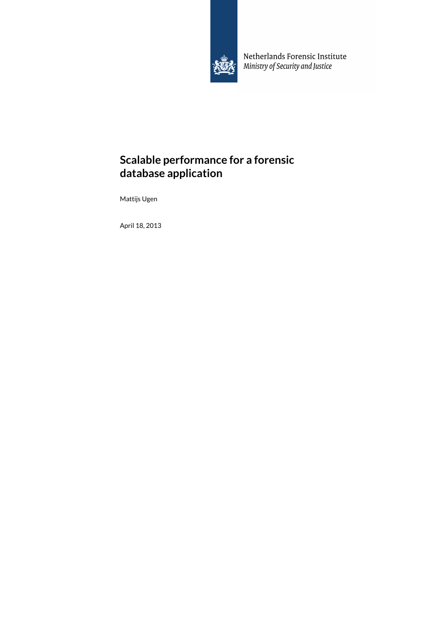

Netherlands Forensic Institute Ministry of Security and Justice

# **Scalable performance for a forensic database application**

Mattijs Ugen

April 18, 2013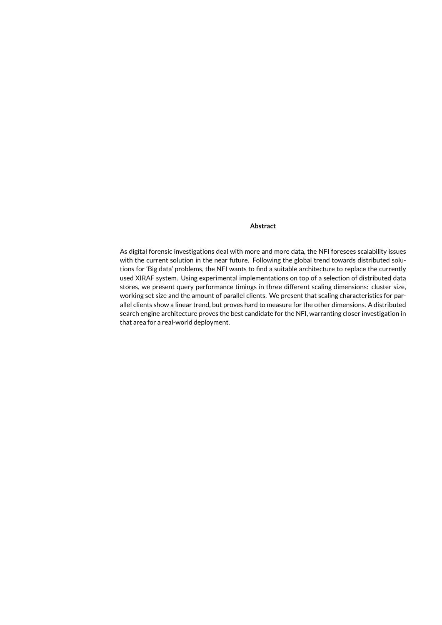#### **Abstract**

As digital forensic investigations deal with more and more data, the [NFI](#page-7-0) foresees scalability issues with the current solution in the near future. Following the global trend towards distributed solutions for 'Big data' problems, the [NFI](#page-7-0) wants to find a suitable architecture to replace the currently used [XIRAF](#page-7-1) system. Using experimental implementations on top of a selection of distributed data stores, we present query performance timings in three different scaling dimensions: cluster size, [working set](#page-7-2) size and the amount of parallel clients. We present that scaling characteristics for parallel clients show a linear trend, but proves hard to measure for the other dimensions. A distributed search engine architecture proves the best candidate for the [NFI,](#page-7-0) warranting closer investigation in that area for a real-world deployment.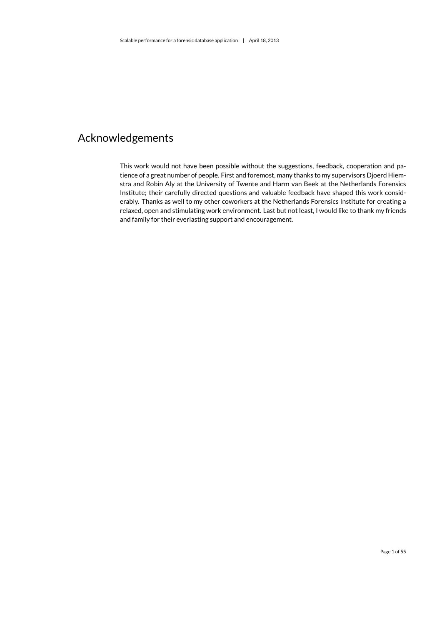# Acknowledgements

This work would not have been possible without the suggestions, feedback, cooperation and patience of a great number of people. First and foremost, many thanks to my supervisors Djoerd Hiemstra and Robin Aly at the University of Twente and Harm van Beek at the Netherlands Forensics Institute; their carefully directed questions and valuable feedback have shaped this work considerably. Thanks as well to my other coworkers at the Netherlands Forensics Institute for creating a relaxed, open and stimulating work environment. Last but not least, I would like to thank my friends and family for their everlasting support and encouragement.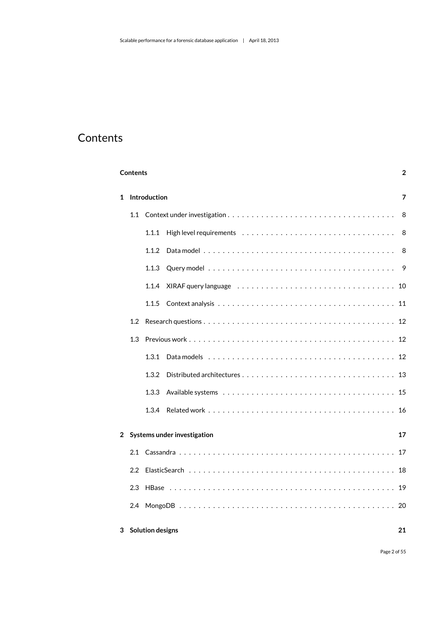# <span id="page-3-0"></span>**Contents**

|                | <b>Contents</b>  |                         |                             |    |  |  |  |  |  |  |  |  |  |  |  |
|----------------|------------------|-------------------------|-----------------------------|----|--|--|--|--|--|--|--|--|--|--|--|
| 1              | Introduction     |                         |                             |    |  |  |  |  |  |  |  |  |  |  |  |
|                | 1.1              |                         |                             |    |  |  |  |  |  |  |  |  |  |  |  |
|                |                  | 1.1.1                   |                             | 8  |  |  |  |  |  |  |  |  |  |  |  |
|                |                  | 1.1.2                   |                             | 8  |  |  |  |  |  |  |  |  |  |  |  |
|                |                  | 1.1.3                   |                             | 9  |  |  |  |  |  |  |  |  |  |  |  |
|                |                  | 1.1.4                   |                             |    |  |  |  |  |  |  |  |  |  |  |  |
|                |                  | 1.1.5                   |                             |    |  |  |  |  |  |  |  |  |  |  |  |
|                | 1.2              |                         |                             |    |  |  |  |  |  |  |  |  |  |  |  |
|                | 1.3              |                         |                             |    |  |  |  |  |  |  |  |  |  |  |  |
|                |                  | 1.3.1                   |                             |    |  |  |  |  |  |  |  |  |  |  |  |
|                |                  | 1.3.2                   |                             |    |  |  |  |  |  |  |  |  |  |  |  |
|                |                  | 1.3.3                   |                             |    |  |  |  |  |  |  |  |  |  |  |  |
|                |                  | 1.3.4                   |                             |    |  |  |  |  |  |  |  |  |  |  |  |
| $\overline{2}$ |                  |                         | Systems under investigation | 17 |  |  |  |  |  |  |  |  |  |  |  |
|                | 2.1              |                         |                             |    |  |  |  |  |  |  |  |  |  |  |  |
|                | $2.2\phantom{0}$ |                         |                             |    |  |  |  |  |  |  |  |  |  |  |  |
|                | 2.3              |                         |                             |    |  |  |  |  |  |  |  |  |  |  |  |
|                | 2.4              |                         |                             |    |  |  |  |  |  |  |  |  |  |  |  |
| 3              |                  | <b>Solution designs</b> |                             | 21 |  |  |  |  |  |  |  |  |  |  |  |

Page 2 of [55](#page-56-0)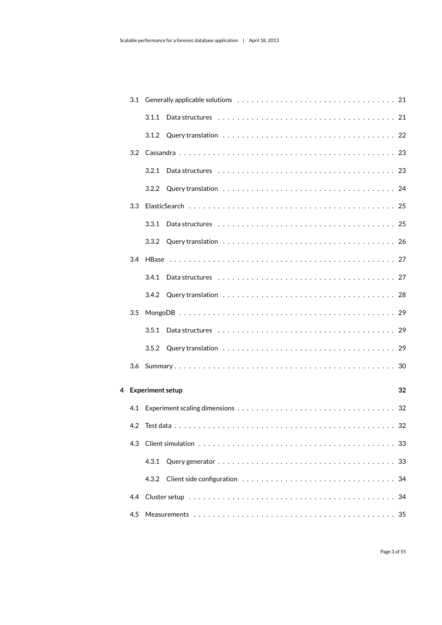|     | 3.1.1              |    |
|-----|--------------------|----|
|     |                    |    |
| 3.2 |                    |    |
|     |                    |    |
|     |                    |    |
| 3.3 |                    |    |
|     |                    |    |
|     |                    |    |
| 3.4 |                    |    |
|     |                    |    |
|     |                    |    |
| 3.5 |                    |    |
|     |                    |    |
|     |                    |    |
| 3.6 |                    |    |
|     | 4 Experiment setup | 32 |
|     |                    |    |
|     |                    |    |
| 4.3 |                    |    |
|     | 4.3.1              |    |
|     | 4.3.2              | 34 |
| 4.4 |                    |    |
| 4.5 |                    |    |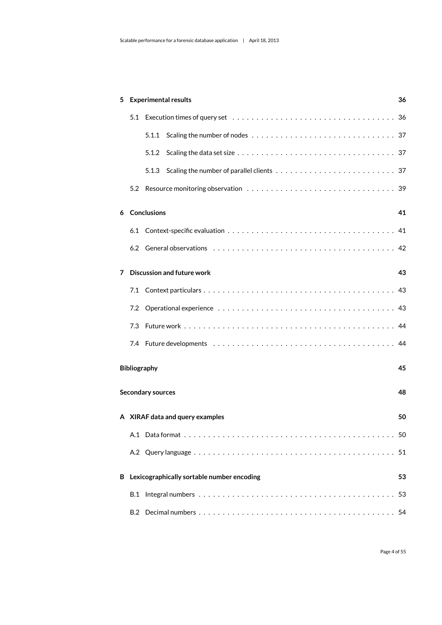| 5 |     | <b>Experimental results</b><br>36          |    |  |  |  |  |  |  |  |  |  |  |
|---|-----|--------------------------------------------|----|--|--|--|--|--|--|--|--|--|--|
|   |     |                                            |    |  |  |  |  |  |  |  |  |  |  |
|   |     | 5.1.1                                      |    |  |  |  |  |  |  |  |  |  |  |
|   |     | 5.1.2                                      |    |  |  |  |  |  |  |  |  |  |  |
|   |     |                                            |    |  |  |  |  |  |  |  |  |  |  |
|   |     |                                            |    |  |  |  |  |  |  |  |  |  |  |
| 6 |     | <b>Conclusions</b>                         | 41 |  |  |  |  |  |  |  |  |  |  |
|   |     |                                            |    |  |  |  |  |  |  |  |  |  |  |
|   |     |                                            |    |  |  |  |  |  |  |  |  |  |  |
| 7 |     | <b>Discussion and future work</b>          | 43 |  |  |  |  |  |  |  |  |  |  |
|   |     |                                            |    |  |  |  |  |  |  |  |  |  |  |
|   | 7.2 |                                            |    |  |  |  |  |  |  |  |  |  |  |
|   | 7.3 |                                            |    |  |  |  |  |  |  |  |  |  |  |
|   |     |                                            |    |  |  |  |  |  |  |  |  |  |  |
|   |     | Bibliography                               | 45 |  |  |  |  |  |  |  |  |  |  |
|   |     | <b>Secondary sources</b>                   | 48 |  |  |  |  |  |  |  |  |  |  |
|   |     |                                            |    |  |  |  |  |  |  |  |  |  |  |
|   |     | A XIRAF data and query examples            | 50 |  |  |  |  |  |  |  |  |  |  |
|   |     |                                            |    |  |  |  |  |  |  |  |  |  |  |
|   |     |                                            |    |  |  |  |  |  |  |  |  |  |  |
| В |     | Lexicographically sortable number encoding | 53 |  |  |  |  |  |  |  |  |  |  |
|   | B.1 |                                            |    |  |  |  |  |  |  |  |  |  |  |
|   |     |                                            |    |  |  |  |  |  |  |  |  |  |  |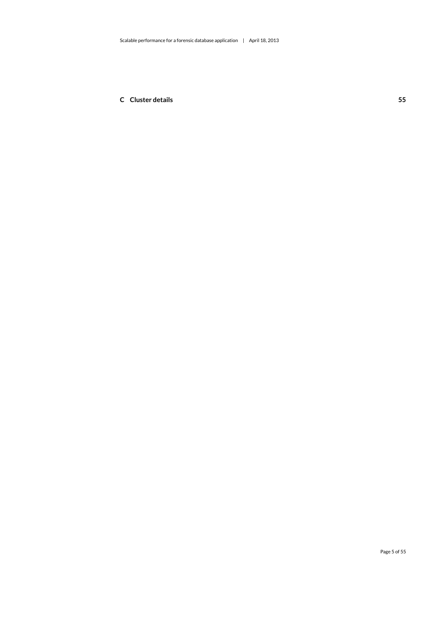**[C Cluster details](#page-56-1) 55**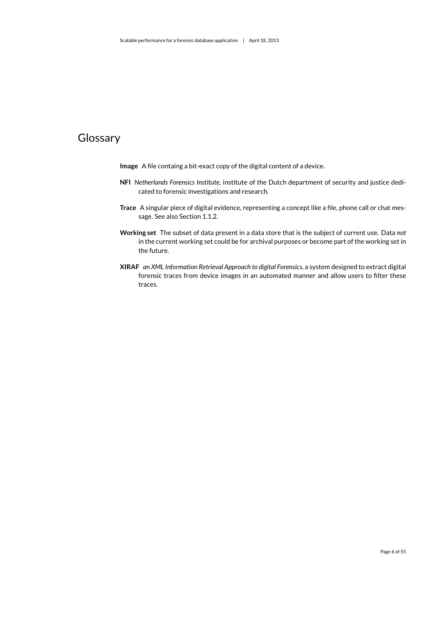# Glossary

- <span id="page-7-4"></span>**Image** A file containg a bit-exact copy of the digital content of a device.
- <span id="page-7-0"></span>**NFI** *Netherlands Forensics Institute*, institute of the Dutch department of security and justice dedicated to forensic investigations and research.
- <span id="page-7-3"></span>**Trace** A singular piece of digital evidence, representing a concept like a file, phone call or chat message. See also Section [1.1.2.](#page-9-2)
- <span id="page-7-2"></span>**Working set** The subset of data present in a data store that is the subject of current use. Data *not* in the current working set could be for archival purposes or become part of the working set in the future.
- <span id="page-7-1"></span>**XIRAF** *an XML Information Retrieval Approach to digital Forensics*, a system designed to extract digital forensic [traces](#page-7-3) from device [images](#page-7-4) in an automated manner and allow users to filter these traces.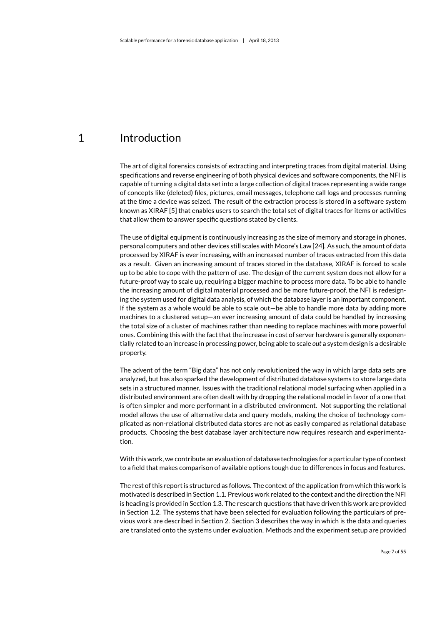## <span id="page-8-0"></span>1 Introduction

The art of digital forensics consists of extracting and interpreting [traces](#page-7-3) from digital material. Using specifications and reverse engineering of both physical devices and software components, the [NFI](#page-7-0) is capable of turning a digital data set into a large collection of digital [traces](#page-7-3) representing a wide range of concepts like (deleted) files, pictures, email messages, telephone call logs and processes running at the time a device was seized. The result of the extraction process is stored in a software system known as [XIRAF](#page-7-1) [\[5\]](#page-46-1) that enables users to search the total set of digital [traces](#page-7-3) for items or activities that allow them to answer specific questions stated by clients.

The use of digital equipment is continuously increasing as the size of memory and storage in phones, personal computers and other devices still scales with Moore's Law [\[24\]](#page-47-0). As such, the amount of data processed by [XIRAF](#page-7-1) is ever increasing, with an increased number of traces extracted from this data as a result. Given an increasing amount of [traces](#page-7-3) stored in the database, [XIRAF](#page-7-1) is forced to scale up to be able to cope with the pattern of use. The design of the current system does not allow for a future-proof way to scale up, requiring a bigger machine to process more data. To be able to handle the increasing amount of digital material processed and be more future-proof, the [NFI](#page-7-0) is redesigning the system used for digital data analysis, of which the database layer is an important component. If the system as a whole would be able to scale out—be able to handle more data by adding more machines to a clustered setup—an ever increasing amount of data could be handled by increasing the total size of a cluster of machines rather than needing to replace machines with more powerful ones. Combining this with the fact that the increase in cost of server hardware is generally exponentially related to an increase in processing power, being able to scale *out* a system design is a desirable property.

The advent of the term "Big data" has not only revolutionized the way in which large data sets are analyzed, but has also sparked the development of distributed database systems to store large data sets in a structured manner. Issues with the traditional relational model surfacing when applied in a distributed environment are often dealt with by dropping the relational model in favor of a one that is often simpler and more performant in a distributed environment. Not supporting the relational model allows the use of alternative data and query models, making the choice of technology complicated as non-relational distributed data stores are not as easily compared as relational database products. Choosing the best database layer architecture now requires research and experimentation.

With this work, we contribute an evaluation of database technologies for a particular type of context to a field that makes comparison of available options tough due to differences in focus and features.

The rest of this report is structured as follows. The context of the application from which this work is motivated is described in Section [1.1.](#page-9-0) Previous work related to the context and the direction the [NFI](#page-7-0) is heading is provided in Section [1.3.](#page-13-1) The research questions that have driven this work are provided in Section [1.2.](#page-13-0) The systems that have been selected for evaluation following the particulars of previous work are described in Section [2.](#page-18-0) Section [3](#page-22-0) describes the way in which is the data and queries are translated onto the systems under evaluation. Methods and the experiment setup are provided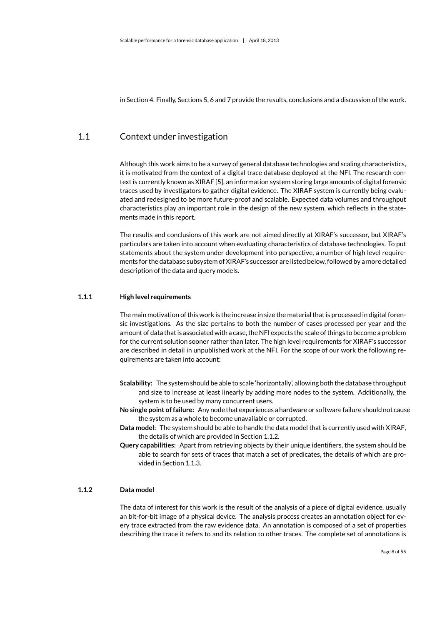<span id="page-9-0"></span>in Section [4.](#page-33-0) Finally, Sections [5,](#page-37-0) [6](#page-42-0) and [7](#page-44-0) provide the results, conclusions and a discussion of the work.

## 1.1 Context under investigation

Although this work aims to be a survey of general database technologies and scaling characteristics, it is motivated from the context of a digital trace database deployed at the [NFI.](#page-7-0) The research context is currently known as [XIRAF](#page-7-1) [\[5\]](#page-46-1), an information system storing large amounts of digital forensic [traces](#page-7-3) used by investigators to gather digital evidence. The [XIRAF](#page-7-1) system is currently being evaluated and redesigned to be more future-proof and scalable. Expected data volumes and throughput characteristics play an important role in the design of the new system, which reflects in the statements made in this report.

The results and conclusions of this work are not aimed directly at [XIRAF'](#page-7-1)s successor, but [XIRAF'](#page-7-1)s particulars are taken into account when evaluating characteristics of database technologies. To put statements about the system under development into perspective, a number of high level requirements for the database subsystem of [XIRAF'](#page-7-1)s successor are listed below, followed by a more detailed description of the data and query models.

#### **1.1.1 High level requirements**

<span id="page-9-1"></span>The main motivation of this work is the increase in size the material that is processed in digital forensic investigations. As the size pertains to both the number of cases processed per year and the amount of data that is associated with a case, the [NFI](#page-7-0) expects the scale of things to become a problem for the current solution sooner rather than later. The high level requirements for [XIRAF'](#page-7-1)s successor are described in detail in unpublished work at the [NFI.](#page-7-0) For the scope of our work the following requirements are taken into account:

- **Scalability:** The system should be able to scale 'horizontally', allowing both the database throughput and size to increase at least linearly by adding more nodes to the system. Additionally, the system is to be used by many concurrent users.
- **No single point of failure:** Any node that experiences a hardware or software failure should not cause the system as a whole to become unavailable or corrupted.
- **Data model:** The system should be able to handle the data model that is currently used with [XIRAF,](#page-7-1) the details of which are provided in Section [1.1.2.](#page-9-2)
- **Query capabilities:** Apart from retrieving objects by their unique identifiers, the system should be able to search for sets of [traces](#page-7-3) that match a set of predicates, the details of which are provided in Section [1.1.3.](#page-10-0)

#### **1.1.2 Data model**

<span id="page-9-2"></span>The data of interest for this work is the result of the analysis of a piece of digital evidence, usually an bit-for-bit [image](#page-7-4) of a physical device. The analysis process creates an annotation object for every [trace](#page-7-3) extracted from the raw evidence data. An annotation is composed of a set of properties describing the [trace](#page-7-3) it refers to and its relation to other [traces.](#page-7-3) The complete set of annotations is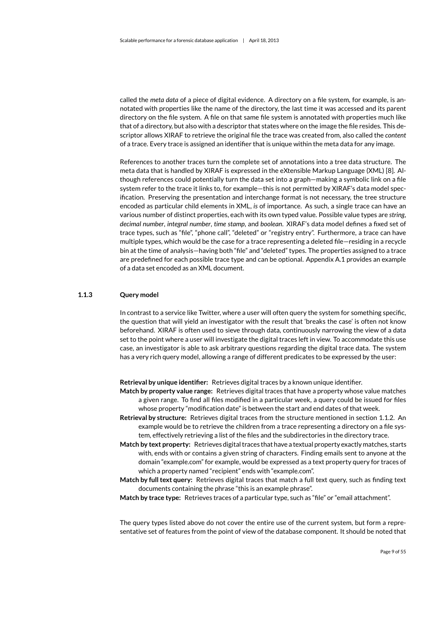called the *meta data* of a piece of digital evidence. A directory on a file system, for example, is annotated with properties like the name of the directory, the last time it was accessed and its parent directory on the file system. A file on that same file system is annotated with properties much like that of a directory, but also with a descriptor that states where on the [image](#page-7-4) the file resides. This descriptor allows [XIRAF](#page-7-1) to retrieve the original file the [trace](#page-7-3) was created from, also called the *content* of a [trace.](#page-7-3) Every [trace](#page-7-3) is assigned an identifier that is unique within the meta data for any [image.](#page-7-4)

References to another [traces](#page-7-3) turn the complete set of annotations into a tree data structure. The meta data that is handled by [XIRAF](#page-7-1) is expressed in the eXtensible Markup Language (XML) [\[8\]](#page-46-2). Although references could potentially turn the data set into a graph—making a symbolic link on a file system refer to the [trace](#page-7-3) it links to, for example—this is not permitted by [XIRAF'](#page-7-1)s data model specification. Preserving the presentation and interchange format is not necessary, the tree structure encoded as particular child elements in XML, *is* of importance. As such, a single [trace](#page-7-3) can have an various number of distinct properties, each with its own typed value. Possible value types are *string*, *decimal number*, *integral number*, *time stamp*, and *boolean*. [XIRAF'](#page-7-1)s data model defines a fixed set of [trace](#page-7-3) types, such as "file", "phone call", "deleted" or "registry entry". Furthermore, a [trace](#page-7-3) can have multiple types, which would be the case for a [trace](#page-7-3) representing a deleted file—residing in a recycle bin at the time of analysis—having both "file" and "deleted" types. The properties assigned to a [trace](#page-7-3) are predefined for each possible [trace](#page-7-3) type and can be optional. Appendix [A.1](#page-51-1) provides an example of a data set encoded as an XML document.

#### **1.1.3 Query model**

<span id="page-10-0"></span>In contrast to a service like Twitter, where a user will often query the system for something specific, the question that will yield an investigator with the result that 'breaks the case' is often not know beforehand. [XIRAF](#page-7-1) is often used to sieve through data, continuously narrowing the view of a data set to the point where a user will investigate the digital [traces](#page-7-3) left in view. To accommodate this use case, an investigator is able to ask arbitrary questions regarding the digital [trace](#page-7-3) data. The system has a very rich query model, allowing a range of different predicates to be expressed by the user:

**Retrieval by unique identifier:** Retrieves digital traces by a known unique identifier.

- **Match by property value range:** Retrieves digital traces that have a property whose value matches a given range. To find all files modified in a particular week, a query could be issued for files whose property "modification date" is between the start and end dates of that week.
- **Retrieval by structure:** Retrieves digital traces from the structure mentioned in section [1.1.2.](#page-9-2) An example would be to retrieve the children from a [trace](#page-7-3) representing a directory on a file system, effectively retrieving a list of the files and the subdirectories in the directory [trace.](#page-7-3)
- **Match by text property:** Retrieves digital traces that have a textual property exactly matches, starts with, ends with or contains a given string of characters. Finding emails sent to anyone at the domain "example.com" for example, would be expressed as a text property query for [traces](#page-7-3) of which a property named "recipient" ends with "example.com".
- **Match by full text query:** Retrieves digital [traces](#page-7-3) that match a full text query, such as finding text documents containing the phrase "this is an example phrase".
- **Match by [trace](#page-7-3) type:** Retrieves [traces](#page-7-3) of a particular type, such as "file" or "email attachment".

The query types listed above do not cover the entire use of the current system, but form a representative set of features from the point of view of the database component. It should be noted that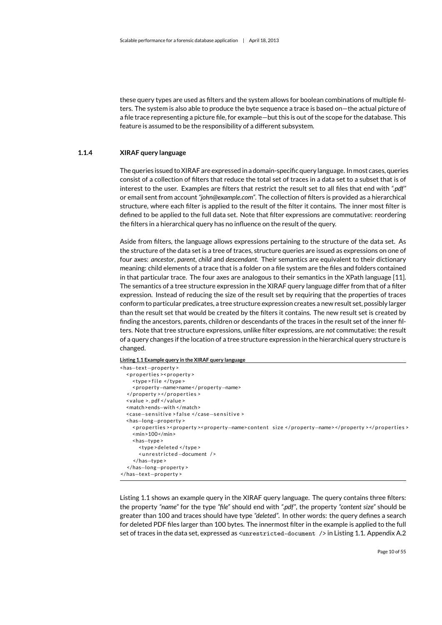these query types are used as filters and the system allows for boolean combinations of multiple filters. The system is also able to produce the byte sequence a [trace](#page-7-3) is based on—the actual picture of a file trace representing a picture file, for example—but this is out of the scope for the database. This feature is assumed to be the responsibility of a different subsystem.

#### **1.1.4 XIRAF query language**

<span id="page-11-0"></span>The queries issued to [XIRAF a](#page-7-1)re expressed in a domain-specific query language. In most cases, queries consist of a collection of filters that reduce the total set of [traces](#page-7-3) in a data set to a subset that is of interest to the user. Examples are filters that restrict the result set to all files that end with *".pdf"* or email sent from account *"john@example.com"*. The collection of filters is provided as a hierarchical structure, where each filter is applied to the result of the filter it contains. The inner most filter is defined to be applied to the full data set. Note that filter expressions are commutative: reordering the filters in a hierarchical query has no influence on the result of the query.

Aside from filters, the language allows expressions pertaining to the structure of the data set. As the structure of the data set is a tree of [traces,](#page-7-3) structure queries are issued as expressions on one of four axes: *ancestor*, *parent*, *child* and *descendant*. Their semantics are equivalent to their dictionary meaning: child elements of a [trace](#page-7-3) that is a folder on a file system are the files and folders contained in that particular [trace.](#page-7-3) The four axes are analogous to their semantics in the XPath language [\[11\]](#page-46-3). The semantics of a tree structure expression in the [XIRAF](#page-7-1) query language differ from that of a filter expression. Instead of reducing the size of the result set by requiring that the properties of [traces](#page-7-3) conform to particular predicates, a tree structure expression creates a new result set, possibly larger than the result set that would be created by the filters it contains. The new result set is created by finding the ancestors, parents, children or descendants of the [traces](#page-7-3) in the result set of the inner filters. Note that tree structure expressions, unlike filter expressions, are *not* commutative: the result of a query changes if the location of a tree structure expression in the hierarchical query structure is changed.

<span id="page-11-1"></span>**Listing 1.1 Example query in the [XIRAF q](#page-7-1)uery language**

| $\alpha$ -text-property $\alpha$                |                                                                                           |
|-------------------------------------------------|-------------------------------------------------------------------------------------------|
| <properties><property></property></properties>  |                                                                                           |
| <type>file </type>                              |                                                                                           |
| <property-name>name</property-name>             |                                                                                           |
|                                                 |                                                                                           |
| $\langle$ value >.pdf $\langle$ /value >        |                                                                                           |
| <match>ends-with </match>                       |                                                                                           |
| <case-sensitive>false</case-sensitive>          |                                                                                           |
| $\alpha$ -has-long-property $\alpha$            |                                                                                           |
| $\frac{100}{100}$                               | <properties><property><property-name>content size</property-name></property></properties> |
| <has-type></has-type>                           |                                                                                           |
| <type>deleted </type>                           |                                                                                           |
| <unrestricted-document></unrestricted-document> |                                                                                           |
|                                                 |                                                                                           |
| $\alpha$ /has-long-property>                    |                                                                                           |
| $\alpha$ /has $-$ text $-$ property>            |                                                                                           |

Listing [1.1](#page-11-1) shows an example query in the [XIRAF](#page-7-1) query language. The query contains three filters: the property *"name"* for the type *"file"* should end with *".pdf"*, the property *"content size"* should be greater than 100 and [traces](#page-7-3) should have type *"deleted"*. In other words: the query defines a search for deleted PDF files larger than 100 bytes. The innermost filter in the example is applied to the full set of [traces](#page-7-3) in the data set, expressed as <unrestricted-document /> in Listing [1.1.](#page-11-1) Appendix [A.2](#page-52-0)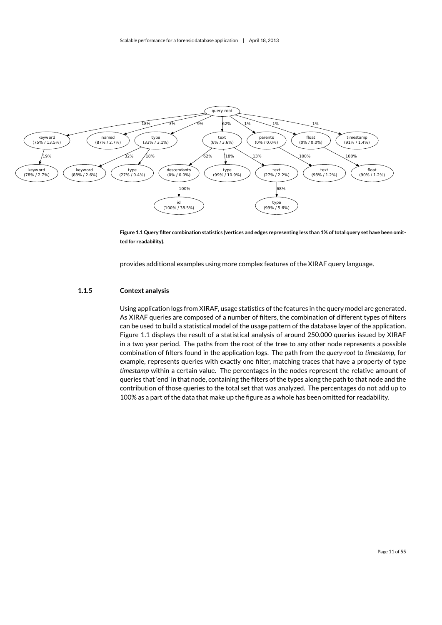

<span id="page-12-1"></span>**Figure 1.1 Query filter combination statistics (vertices and edges representing less than 1% of total query set have been omitted for readability).**

<span id="page-12-0"></span>provides additional examples using more complex features of the [XIRAF](#page-7-1) query language.

#### **1.1.5 Context analysis**

Using application logs from [XIRAF,](#page-7-1) usage statistics of the features in the query model are generated. As [XIRAF](#page-7-1) queries are composed of a number of filters, the combination of different types of filters can be used to build a statistical model of the usage pattern of the database layer of the application. Figure [1.1](#page-12-1) displays the result of a statistical analysis of around 250.000 queries issued by [XIRAF](#page-7-1) in a two year period. The paths from the root of the tree to any other node represents a possible combination of filters found in the application logs. The path from the *query-root* to *timestamp*, for example, represents queries with exactly one filter, matching [traces](#page-7-3) that have a property of type *timestamp* within a certain value. The percentages in the nodes represent the relative amount of queries that 'end' in that node, containing the filters of the types along the path to that node and the contribution of those queries to the total set that was analyzed. The percentages do not add up to 100% as a part of the data that make up the figure as a whole has been omitted for readability.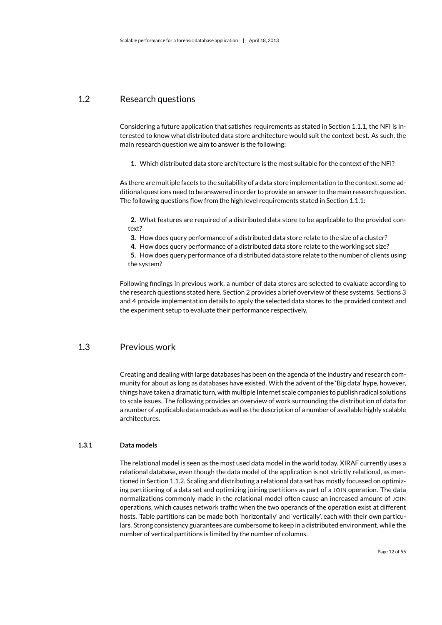## 1.2 Research questions

<span id="page-13-0"></span>Considering a future application that satisfies requirements as stated in Section [1.1.1,](#page-9-1) the [NFI](#page-7-0) is interested to know what distributed data store architecture would suit the context best. As such, the main research question we aim to answer is the following:

**1.** Which distributed data store architecture is the most suitable for the context of the [NFI?](#page-7-0)

As there are multiple facets to the suitability of a data store implementation to the context, some additional questions need to be answered in order to provide an answer to the main research question. The following questions flow from the high level requirements stated in Section [1.1.1:](#page-9-1)

**2.** What features are required of a distributed data store to be applicable to the provided context?

**3.** How does query performance of a distributed data store relate to the size of a cluster?

**4.** How does query performance of a distributed data store relate to the [working set](#page-7-2) size?

**5.** How does query performance of a distributed data store relate to the number of clients using the system?

Following findings in previous work, a number of data stores are selected to evaluate according to the research questions stated here. Section [2](#page-18-0) provides a brief overview of these systems. Sections [3](#page-22-0) and [4](#page-33-0) provide implementation details to apply the selected data stores to the provided context and the experiment setup to evaluate their performance respectively.

## 1.3 Previous work

<span id="page-13-1"></span>Creating and dealing with large databases has been on the agenda of the industry and research community for about as long as databases have existed. With the advent of the 'Big data' hype, however, things have taken a dramatic turn, with multiple Internet scale companies to publish radical solutions to scale issues. The following provides an overview of work surrounding the distribution of data for a number of applicable data models as well as the description of a number of available highly scalable architectures.

#### **1.3.1 Data models**

<span id="page-13-2"></span>The relational model is seen as the most used data model in the world today. [XIRAF](#page-7-1) currently uses a relational database, even though the data model of the application is not strictly relational, as mentioned in Section [1.1.2.](#page-9-2) Scaling and distributing a relational data set has mostly focussed on optimizing partitioning of a data set and optimizing joining partitions as part of a JOIN operation. The data normalizations commonly made in the relational model often cause an increased amount of JOIN operations, which causes network traffic when the two operands of the operation exist at different hosts. Table partitions can be made both 'horizontally' and 'vertically', each with their own particulars. Strong consistency guarantees are cumbersome to keep in a distributed environment, while the number of vertical partitions is limited by the number of columns.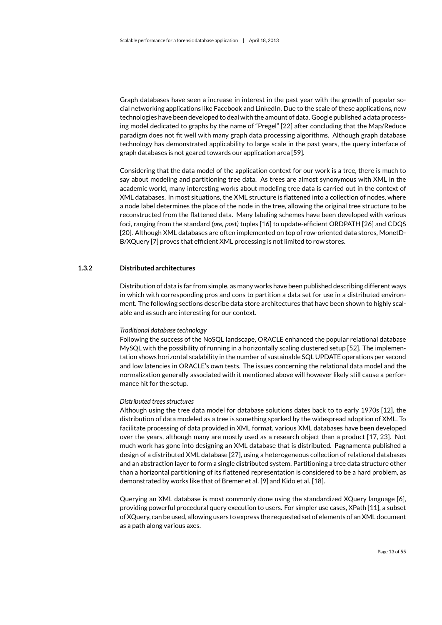Graph databases have seen a increase in interest in the past year with the growth of popular social networking applications like Facebook and LinkedIn. Due to the scale of these applications, new technologies have been developed to deal with the amount of data. Google published a data processing model dedicated to graphs by the name of "Pregel" [\[22\]](#page-47-1) after concluding that the Map/Reduce paradigm does not fit well with many graph data processing algorithms. Although graph database technology has demonstrated applicability to large scale in the past years, the query interface of graph databases is not geared towards our application area [\[59\]](#page-50-0).

Considering that the data model of the application context for our work is a tree, there is much to say about modeling and partitioning tree data. As trees are almost synonymous with XML in the academic world, many interesting works about modeling tree data is carried out in the context of XML databases. In most situations, the XML structure is flattened into a collection of nodes, where a node label determines the place of the node in the tree, allowing the original tree structure to be reconstructed from the flattened data. Many labeling schemes have been developed with various foci, ranging from the standard *(pre, post)* tuples [\[16\]](#page-47-2) to update-efficient ORDPATH [\[26\]](#page-47-3) and CDQS [\[20\]](#page-47-4). Although XML databases are often implemented on top of row-oriented data stores, MonetD-B/XQuery [\[7\]](#page-46-4) proves that efficient XML processing is not limited to row stores.

#### **1.3.2 Distributed architectures**

<span id="page-14-0"></span>Distribution of data is far from simple, as many works have been published describing different ways in which with corresponding pros and cons to partition a data set for use in a distributed environment. The following sections describe data store architectures that have been shown to highly scalable and as such are interesting for our context.

#### *Traditional database technology*

Following the success of the NoSQL landscape, ORACLE enhanced the popular relational database MySQL with the possibility of running in a horizontally scaling clustered setup [\[52\]](#page-49-1). The implementation shows horizontal scalability in the number of sustainable SQL UPDATE operations per second and low latencies in ORACLE's own tests. The issues concerning the relational data model and the normalization generally associated with it mentioned above will however likely still cause a performance hit for the setup.

#### *Distributed trees structures*

Although using the tree data model for database solutions dates back to to early 1970s [\[12\]](#page-46-5), the distribution of data modeled as a tree is something sparked by the widespread adoption of XML. To facilitate processing of data provided in XML format, various XML databases have been developed over the years, although many are mostly used as a research object than a product [\[17,](#page-47-5) [23\]](#page-47-6). Not much work has gone into designing an XML database that is distributed. Pagnamenta published a design of a distributed XML database [\[27\]](#page-47-7), using a heterogeneous collection of relational databases and an abstraction layer to form a single distributed system. Partitioning a tree data structure other than a horizontal partitioning of its flattened representation is considered to be a hard problem, as demonstrated by works like that of Bremer et al. [\[9\]](#page-46-6) and Kido et al. [\[18\]](#page-47-8).

Querying an XML database is most commonly done using the standardized XQuery language [\[6\]](#page-46-7), providing powerful procedural query execution to users. For simpler use cases, XPath [\[11\]](#page-46-3), a subset of XQuery, can be used, allowing users to express the requested set of elements of an XML document as a path along various axes.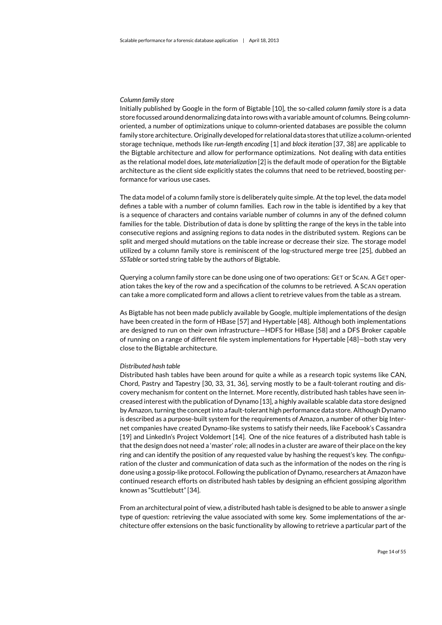#### *Column family store*

Initially published by Google in the form of Bigtable [\[10\]](#page-46-8), the so-called *column family store* is a data store focussed around denormalizing data into rows with a variable amount of columns. Being columnoriented, a number of optimizations unique to column-oriented databases are possible the column family store architecture. Originally developed for relational data stores that utilize a column-oriented storage technique, methods like *run-length encoding* [\[1\]](#page-46-9) and *block iteration* [\[37,](#page-48-0) [38\]](#page-48-1) are applicable to the Bigtable architecture and allow for performance optimizations. Not dealing with data entities as the relational model does, *late materialization* [\[2\]](#page-46-10) is the default mode of operation for the Bigtable architecture as the client side explicitly states the columns that need to be retrieved, boosting performance for various use cases.

The data model of a column family store is deliberately quite simple. At the top level, the data model defines a table with a number of column families. Each row in the table is identified by a key that is a sequence of characters and contains variable number of columns in any of the defined column families for the table. Distribution of data is done by splitting the range of the keys in the table into consecutive regions and assigning regions to data nodes in the distributed system. Regions can be split and merged should mutations on the table increase or decrease their size. The storage model utilized by a column family store is reminiscent of the log-structured merge tree [\[25\]](#page-47-9), dubbed an *SSTable* or sorted string table by the authors of Bigtable.

Querying a column family store can be done using one of two operations: GET or SCAN. A GET operation takes the key of the row and a specification of the columns to be retrieved. A SCAN operation can take a more complicated form and allows a client to retrieve values from the table as a stream.

As Bigtable has not been made publicly available by Google, multiple implementations of the design have been created in the form of HBase [\[57\]](#page-50-1) and Hypertable [\[48\]](#page-49-2). Although both implementations are designed to run on their own infrastructure—HDFS for HBase [\[58\]](#page-50-2) and a DFS Broker capable of running on a range of different file system implementations for Hypertable [\[48\]](#page-49-2)—both stay very close to the Bigtable architecture.

#### *Distributed hash table*

Distributed hash tables have been around for quite a while as a research topic systems like CAN, Chord, Pastry and Tapestry [\[30,](#page-47-10) [33,](#page-48-2) [31,](#page-48-3) [36\]](#page-48-4), serving mostly to be a fault-tolerant routing and discovery mechanism for content on the Internet. More recently, distributed hash tables have seen increased interest with the publication of Dynamo [\[13\]](#page-46-11), a highly available scalable data store designed by Amazon, turning the concept into a fault-tolerant high performance data store. Although Dynamo is described as a purpose-built system for the requirements of Amazon, a number of other big Internet companies have created Dynamo-like systems to satisfy their needs, like Facebook's Cassandra [\[19\]](#page-47-11) and LinkedIn's Project Voldemort [\[14\]](#page-46-12). One of the nice features of a distributed hash table is that the design does not need a 'master' role; all nodes in a cluster are aware of their place on the key ring and can identify the position of any requested value by hashing the request's key. The configuration of the cluster and communication of data such as the information of the nodes on the ring is done using a gossip-like protocol. Following the publication of Dynamo, researchers at Amazon have continued research efforts on distributed hash tables by designing an efficient gossiping algorithm known as "Scuttlebutt" [\[34\]](#page-48-5).

From an architectural point of view, a distributed hash table is designed to be able to answer a single type of question: retrieving the value associated with some key. Some implementations of the architecture offer extensions on the basic functionality by allowing to retrieve a particular part of the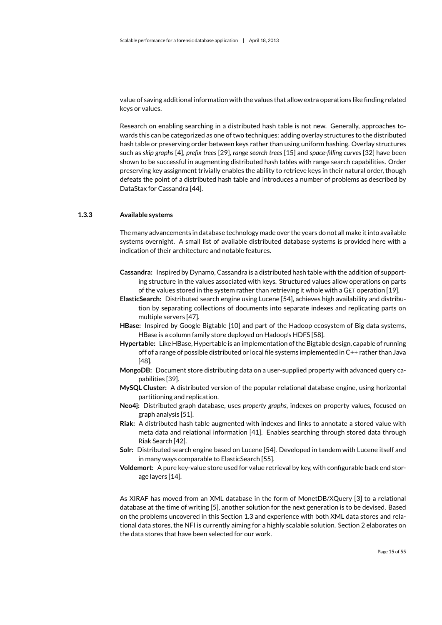value of saving additional information with the values that allow extra operations like finding related keys or values.

Research on enabling searching in a distributed hash table is not new. Generally, approaches towards this can be categorized as one of two techniques: adding overlay structures to the distributed hash table or preserving order between keys rather than using uniform hashing. Overlay structures such as *skip graphs* [\[4\]](#page-46-13), *prefix trees* [\[29\]](#page-47-12), *range search trees* [\[15\]](#page-47-13) and *space-filling curves* [\[32\]](#page-48-6) have been shown to be successful in augmenting distributed hash tables with range search capabilities. Order preserving key assignment trivially enables the ability to retrieve keys in their natural order, though defeats the point of a distributed hash table and introduces a number of problems as described by DataStax for Cassandra [\[44\]](#page-49-3).

#### **1.3.3 Available systems**

<span id="page-16-0"></span>The many advancements in database technology made over the years do not all make it into available systems overnight. A small list of available distributed database systems is provided here with a indication of their architecture and notable features.

- **Cassandra:** Inspired by Dynamo, Cassandra is a distributed hash table with the addition of supporting structure in the values associated with keys. Structured values allow operations on parts of the values stored in the system rather than retrieving it whole with a GET operation [\[19\]](#page-47-11).
- **ElasticSearch:** Distributed search engine using Lucene [\[54\]](#page-49-4), achieves high availability and distribution by separating collections of documents into separate indexes and replicating parts on multiple servers [\[47\]](#page-49-5).
- **HBase:** Inspired by Google Bigtable [\[10\]](#page-46-8) and part of the Hadoop ecosystem of Big data systems, HBase is a column family store deployed on Hadoop's HDFS [\[58\]](#page-50-2).
- **Hypertable:** Like HBase, Hypertable is an implementation of the Bigtable design, capable of running off of a range of possible distributed or local file systems implemented in C++ rather than Java [\[48\]](#page-49-2).
- **MongoDB:** Document store distributing data on a user-supplied property with advanced query capabilities [\[39\]](#page-49-6).
- **MySQL Cluster:** A distributed version of the popular relational database engine, using horizontal partitioning and replication.
- **Neo4j:** Distributed graph database, uses *property graphs*, indexes on property values, focused on graph analysis [\[51\]](#page-49-7).
- **Riak:** A distributed hash table augmented with indexes and links to annotate a stored value with meta data and relational information [\[41\]](#page-49-8). Enables searching through stored data through Riak Search [\[42\]](#page-49-9).
- **Solr:** Distributed search engine based on Lucene [\[54\]](#page-49-4). Developed in tandem with Lucene itself and in many ways comparable to ElasticSearch [\[55\]](#page-50-3).
- **Voldemort:** A pure key-value store used for value retrieval by key, with configurable back end storage layers [\[14\]](#page-46-12).

As [XIRAF](#page-7-1) has moved from an XML database in the form of MonetDB/XQuery [\[3\]](#page-46-14) to a relational database at the time of writing [\[5\]](#page-46-1), another solution for the next generation is to be devised. Based on the problems uncovered in this Section [1.3](#page-13-1) and experience with both XML data stores and relational data stores, the [NFI](#page-7-0) is currently aiming for a highly scalable solution. Section [2](#page-18-0) elaborates on the data stores that have been selected for our work.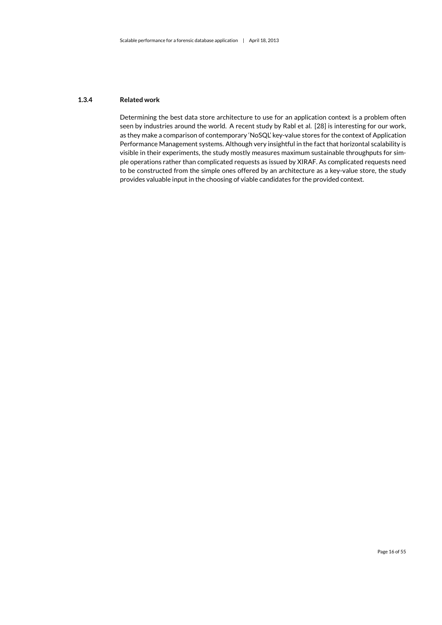#### **1.3.4 Related work**

<span id="page-17-0"></span>Determining the best data store architecture to use for an application context is a problem often seen by industries around the world. A recent study by Rabl et al. [\[28\]](#page-47-14) is interesting for our work, as they make a comparison of contemporary 'NoSQL' key-value stores for the context of Application Performance Management systems. Although very insightful in the fact that horizontal scalability is visible in their experiments, the study mostly measures maximum sustainable throughputs for simple operations rather than complicated requests as issued by [XIRAF.](#page-7-1) As complicated requests need to be constructed from the simple ones offered by an architecture as a key-value store, the study provides valuable input in the choosing of viable candidates for the provided context.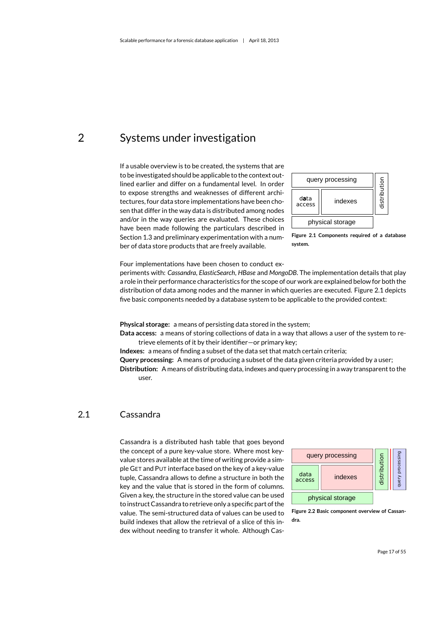<span id="page-18-0"></span>2 Systems under investigation

If a usable overview is to be created, the systems that are to be investigated should be applicable to the context outlined earlier and differ on a fundamental level. In order to expose strengths and weaknesses of different architectures, four data store implementations have been chosen that differ in the way data is distributed among nodes and/or in the way queries are evaluated. These choices have been made following the particulars described in Section [1.3](#page-13-1) and preliminary experimentation with a number of data store products that are freely available.



<span id="page-18-2"></span>

Four implementations have been chosen to conduct ex-

periments with: *Cassandra*, *ElasticSearch*, *HBase* and *MongoDB*. The implementation details that play a role in their performance characteristics for the scope of our work are explained below for both the distribution of data among nodes and the manner in which queries are executed. Figure [2.1](#page-18-2) depicts five basic components needed by a database system to be applicable to the provided context:

**Physical storage:** a means of persisting data stored in the system;

**Data access:** a means of storing collections of data in a way that allows a user of the system to retrieve elements of it by their identifier—or primary key;

**Indexes:** a means of finding a subset of the data set that match certain criteria;

**Query processing:** A means of producing a subset of the data given criteria provided by a user;

<span id="page-18-1"></span>**Distribution:** A means of distributing data, indexes and query processing in a way transparent to the user.

### 2.1 Cassandra

Cassandra is a distributed hash table that goes beyond the concept of a pure key-value store. Where most keyvalue stores available at the time of writing provide a simple GET and PUT interface based on the key of a key-value tuple, Cassandra allows to define a structure in both the key and the value that is stored in the form of columns. Given a key, the structure in the stored value can be used to instruct Cassandra to retrieve only a specific part of the value. The semi-structured data of values can be used to build indexes that allow the retrieval of a slice of this index without needing to transfer it whole. Although Cas-



<span id="page-18-3"></span>**Figure 2.2 Basic component overview of Cassandra.**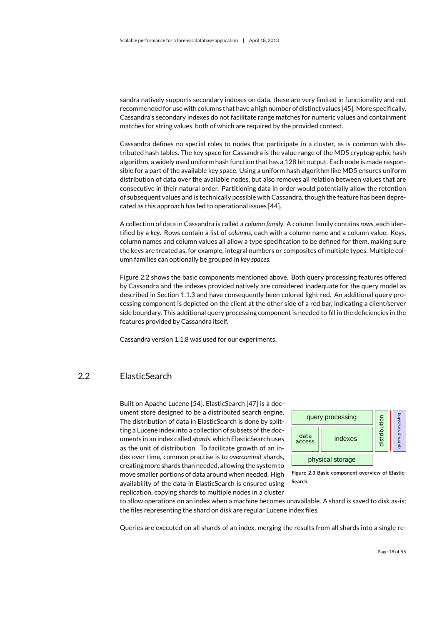sandra natively supports secondary indexes on data, these are very limited in functionality and not recommended for use with columns that have a high number of distinct values [\[45\]](#page-49-10). More specifically, Cassandra's secondary indexes do not facilitate range matches for numeric values and containment matches for string values, both of which are required by the provided context.

Cassandra defines no special roles to nodes that participate in a cluster, as is common with distributed hash tables. The key space for Cassandra is the value range of the MD5 cryptographic hash algorithm, a widely used uniform hash function that has a 128 bit output. Each node is made responsible for a part of the available key space. Using a uniform hash algorithm like MD5 ensures uniform distribution of data over the available nodes, but also removes all relation between values that are consecutive in their natural order. Partitioning data in order would potentially allow the retention of subsequent values and is technically possible with Cassandra, though the feature has been deprecated as this approach has led to operational issues [\[44\]](#page-49-3).

A collection of data in Cassandra is called a *column family*. A column family contains *rows*, each identified by a *key*. Rows contain a list of *columns*, each with a column name and a column value. Keys, column names and column values all allow a type specification to be defined for them, making sure the keys are treated as, for example, integral numbers or composites of multiple types. Multiple column families can optionally be grouped in *key spaces*.

Figure [2.2](#page-18-3) shows the basic components mentioned above. Both query processing features offered by Cassandra and the indexes provided natively are considered inadequate for the query model as described in Section [1.1.3](#page-10-0) and have consequently been colored light red. An additional query processing component is depicted on the client at the other side of a red bar, indicating a client/server side boundary. This additional query processing component is needed to fill in the deficiencies in the features provided by Cassandra itself.

<span id="page-19-0"></span>Cassandra version 1.1.8 was used for our experiments.

## 2.2 ElasticSearch

Built on Apache Lucene [\[54\]](#page-49-4), ElasticSearch [\[47\]](#page-49-5) is a document store designed to be a distributed search engine. The distribution of data in ElasticSearch is done by splitting a Lucene index into a collection of subsets of the documents in an index called *shards*, which ElasticSearch uses as the unit of distribution. To facilitate growth of an index over time, common practise is to *overcommit* shards, creating more shards than needed, allowing the system to move smaller portions of data around when needed. High availability of the data in ElasticSearch is ensured using replication, copying shards to multiple nodes in a cluster



<span id="page-19-1"></span>**Figure 2.3 Basic component overview of Elastic-Search.**

to allow operations on an index when a machine becomes unavailable. A shard is saved to disk as-is; the files representing the shard on disk are regular Lucene index files.

Queries are executed on all shards of an index, merging the results from all shards into a single re-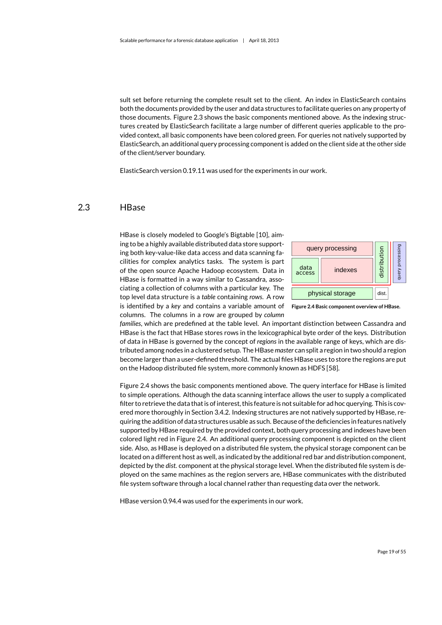sult set before returning the complete result set to the client. An index in ElasticSearch contains both the documents provided by the user and data structures to facilitate queries on any property of those documents. Figure [2.3](#page-19-1) shows the basic components mentioned above. As the indexing structures created by ElasticSearch facilitate a large number of different queries applicable to the provided context, all basic components have been colored green. For queries not natively supported by ElasticSearch, an additional query processing component is added on the client side at the other side of the client/server boundary.

<span id="page-20-0"></span>ElasticSearch version 0.19.11 was used for the experiments in our work.

## 2.3 HBase

HBase is closely modeled to Google's Bigtable [\[10\]](#page-46-8), aiming to be a highly available distributed data store supporting both key-value-like data access and data scanning facilities for complex analytics tasks. The system is part of the open source Apache Hadoop ecosystem. Data in HBase is formatted in a way similar to Cassandra, associating a collection of columns with a particular key. The top level data structure is a *table* containing *rows*. A row is identified by a *key* and contains a variable amount of columns. The columns in a row are grouped by *column*



<span id="page-20-1"></span>**Figure 2.4 Basic component overview of HBase.**

*families*, which are predefined at the table level. An important distinction between Cassandra and HBase is the fact that HBase stores rows in the lexicographical byte order of the keys. Distribution of data in HBase is governed by the concept of *regions* in the available range of keys, which are distributed among nodes in a clustered setup. The HBase *master* can split a region in two should a region become larger than a user-defined threshold. The actual files HBase uses to store the regions are put on the Hadoop distributed file system, more commonly known as HDFS [\[58\]](#page-50-2).

Figure [2.4](#page-20-1) shows the basic components mentioned above. The query interface for HBase is limited to simple operations. Although the data scanning interface allows the user to supply a complicated filter to retrieve the data that is of interest, this feature is not suitable for ad hoc querying. This is covered more thoroughly in Section [3.4.2.](#page-29-0) Indexing structures are not natively supported by HBase, requiring the addition of data structures usable as such. Because of the deficiencies in features natively supported by HBase required by the provided context, both query processing and indexes have been colored light red in Figure [2.4.](#page-20-1) An additional query processing component is depicted on the client side. Also, as HBase is deployed on a distributed file system, the physical storage component can be located on a different host as well, as indicated by the additional red bar and distribution component, depicted by the *dist.* component at the physical storage level. When the distributed file system is deployed on the same machines as the region servers are, HBase communicates with the distributed file system software through a local channel rather than requesting data over the network.

HBase version 0.94.4 was used for the experiments in our work.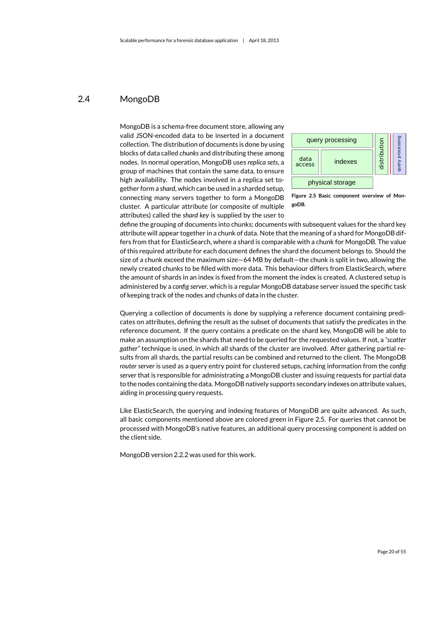## 2.4 MongoDB

<span id="page-21-0"></span>MongoDB is a schema-free document store, allowing any valid JSON-encoded data to be inserted in a document collection. The distribution of documents is done by using blocks of data called *chunks* and distributing these among nodes. In normal operation, MongoDB uses *replica sets*, a group of machines that contain the same data, to ensure high availability. The nodes involved in a replica set together form a *shard*, which can be used in a sharded setup, connecting many servers together to form a MongoDB cluster. A particular attribute (or composite of multiple attributes) called the *shard key* is supplied by the user to



<span id="page-21-1"></span>**Figure 2.5 Basic component overview of MongoDB.**

define the grouping of documents into chunks; documents with subsequent values for the shard key attribute will appear together in a chunk of data. Note that the meaning of a shard for MongoDB differs from that for ElasticSearch, where a shard is comparable with a chunk for MongoDB. The value of this required attribute for each document defines the shard the document belongs to. Should the size of a chunk exceed the maximum size—64 MB by default—the chunk is split in two, allowing the newly created chunks to be filled with more data. This behaviour differs from ElasticSearch, where the amount of shards in an index is fixed from the moment the index is created. A clustered setup is administered by a *config server*, which is a regular MongoDB database server issued the specific task of keeping track of the nodes and chunks of data in the cluster.

Querying a collection of documents is done by supplying a reference document containing predicates on attributes, defining the result as the subset of documents that satisfy the predicates in the reference document. If the query contains a predicate on the shard key, MongoDB will be able to make an assumption on the shards that need to be queried for the requested values. If not, a *"scatter gather"* technique is used, in which all shards of the cluster are involved. After gathering partial results from all shards, the partial results can be combined and returned to the client. The MongoDB *router server* is used as a query entry point for clustered setups, caching information from the *config server* that is responsible for administrating a MongoDB cluster and issuing requests for partial data to the nodes containing the data. MongoDB natively supports secondary indexes on attribute values, aiding in processing query requests.

Like ElasticSearch, the querying and indexing features of MongoDB are quite advanced. As such, all basic components mentioned above are colored green in Figure [2.5.](#page-21-1) For queries that cannot be processed with MongoDB's native features, an additional query processing component is added on the client side.

MongoDB version 2.2.2 was used for this work.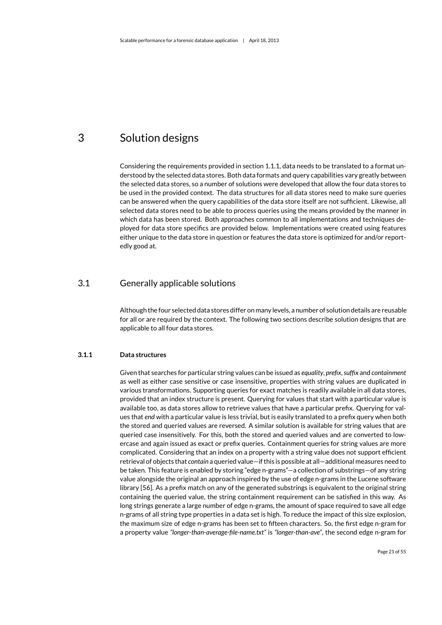## <span id="page-22-0"></span>3 Solution designs

Considering the requirements provided in section [1.1.1,](#page-9-1) data needs to be translated to a format understood by the selected data stores. Both data formats and query capabilities vary greatly between the selected data stores, so a number of solutions were developed that allow the four data stores to be used in the provided context. The data structures for all data stores need to make sure queries can be answered when the query capabilities of the data store itself are not sufficient. Likewise, all selected data stores need to be able to process queries using the means provided by the manner in which data has been stored. Both approaches common to all implementations and techniques deployed for data store specifics are provided below. Implementations were created using features either unique to the data store in question or features the data store is optimized for and/or reportedly good at.

## 3.1 Generally applicable solutions

<span id="page-22-1"></span>Although the four selected data stores differ on many levels, a number of solution details are reusable for all or are required by the context. The following two sections describe solution designs that are applicable to all four data stores.

#### **3.1.1 Data structures**

<span id="page-22-2"></span>Given that searches for particular string values can be issued as *equality*, *prefix*,*suffix* and *containment* as well as either case sensitive or case insensitive, properties with string values are duplicated in various transformations. Supporting queries for exact matches is readily available in all data stores, provided that an index structure is present. Querying for values that start with a particular value is available too, as data stores allow to retrieve values that have a particular prefix. Querying for values that *end* with a particular value is less trivial, but is easily translated to a prefix query when both the stored and queried values are reversed. A similar solution is available for string values that are queried case insensitively. For this, both the stored and queried values and are converted to lowercase and again issued as exact or prefix queries. Containment queries for string values are more complicated. Considering that an index on a property with a string value does not support efficient retrieval of objects that *contain* a queried value—if this is possible at all—additional measures need to be taken. This feature is enabled by storing "edge n-grams"—a collection of substrings—of any string value alongside the original an approach inspired by the use of edge n-grams in the Lucene software library [\[56\]](#page-50-4). As a prefix match on any of the generated substrings is equivalent to the original string containing the queried value, the string containment requirement can be satisfied in this way. As long strings generate a large number of edge n-grams, the amount of space required to save all edge n-grams of all string type properties in a data set is high. To reduce the impact of this size explosion, the maximum size of edge n-grams has been set to fifteen characters. So, the first edge n-gram for a property value *"longer-than-average-file-name.txt"* is *"longer-than-ave"*, the second edge n-gram for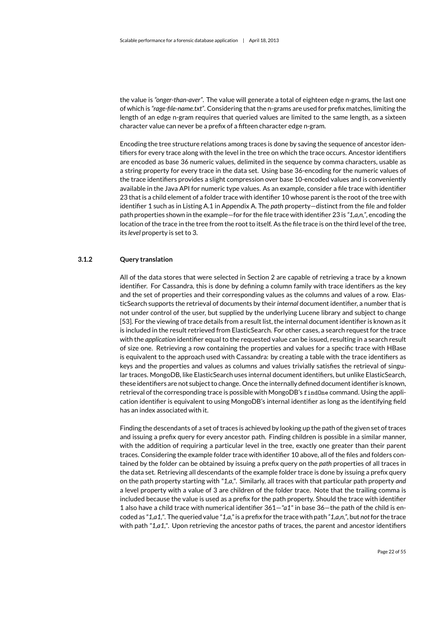the value is *"onger-than-aver"*. The value will generate a total of eighteen edge n-grams, the last one of which is *"rage-file-name.txt"*. Considering that the n-grams are used for prefix matches, limiting the length of an edge n-gram requires that queried values are limited to the same length, as a sixteen character value can never be a prefix of a fifteen character edge n-gram.

Encoding the tree structure relations among [traces](#page-7-3) is done by saving the sequence of ancestor identifiers for every [trace](#page-7-3) along with the level in the tree on which the [trace](#page-7-3) occurs. Ancestor identifiers are encoded as base 36 numeric values, delimited in the sequence by comma characters, usable as a string property for every [trace](#page-7-3) in the data set. Using base 36-encoding for the numeric values of the [trace](#page-7-3) identifiers provides a slight compression over base 10-encoded values and is conveniently available in the Java API for numeric type values. As an example, consider a file [trace](#page-7-3) with identifier 23 that is a child element of a folder [trace](#page-7-3) with identifier 10 whose parent is the root of the tree with identifier 1 such as in Listing [A.1](#page-51-2) in Appendix [A.](#page-51-0) The *path* property—distinct from the file and folder path properties shown in the example—for for the file [trace](#page-7-3) with identifier 23 is *"1,a,n,"*, encoding the location of the [trace](#page-7-3) in the tree from the root to itself. As the file [trace](#page-7-3) is on the third level of the tree, its *level* property is set to 3.

#### **3.1.2 Query translation**

<span id="page-23-0"></span>All of the data stores that were selected in Section [2](#page-18-0) are capable of retrieving a [trace](#page-7-3) by a known identifier. For Cassandra, this is done by defining a column family with [trace](#page-7-3) identifiers as the key and the set of properties and their corresponding values as the columns and values of a row. ElasticSearch supports the retrieval of documents by their *internal* document identifier, a number that is not under control of the user, but supplied by the underlying Lucene library and subject to change [\[53\]](#page-49-11). For the viewing of [trace](#page-7-3) details from a result list, the internal document identifier is known as it is included in the result retrieved from ElasticSearch. For other cases, a search request for the [trace](#page-7-3) with the *application* identifier equal to the requested value can be issued, resulting in a search result of size one. Retrieving a row containing the properties and values for a specific trace with HBase is equivalent to the approach used with Cassandra: by creating a table with the [trace](#page-7-3) identifiers as keys and the properties and values as columns and values trivially satisfies the retrieval of singular [traces.](#page-7-3) MongoDB, like ElasticSearch uses internal document identifiers, but unlike ElasticSearch, these identifiers are not subject to change. Once the internally defined document identifier is known, retrieval of the corresponding [trace](#page-7-3) is possible with MongoDB's findOne command. Using the application identifier is equivalent to using MongoDB's internal identifier as long as the identifying field has an index associated with it.

Finding the descendants of a set of [traces](#page-7-3) is achieved by looking up the path of the given set of [traces](#page-7-3) and issuing a prefix query for every ancestor path. Finding children is possible in a similar manner, with the addition of requiring a particular level in the tree, exactly one greater than their parent [traces.](#page-7-3) Considering the example folder [trace](#page-7-3) with identifier 10 above, all of the files and folders contained by the folder can be obtained by issuing a prefix query on the *path* properties of all [traces](#page-7-3) in the data set. Retrieving all descendants of the example folder [trace](#page-7-3) is done by issuing a prefix query on the path property starting with *"1,a,"*. Similarly, all [traces](#page-7-3) with that particular path property *and* a level property with a value of 3 are children of the folder [trace.](#page-7-3) Note that the trailing comma is included because the value is used as a prefix for the path property. Should the [trace](#page-7-3) with identifier 1 also have a child [trace](#page-7-3) with numerical identifier 361—*"a1"* in base 36—the path of the child is encoded as *"1,a1,"*. The queried value *"1,a,"*is a prefix for the [trace](#page-7-3) with path *"1,a,n,"*, but *not*for the [trace](#page-7-3) with path *"1,a1,"*. Upon retrieving the ancestor paths of [traces,](#page-7-3) the parent and ancestor identifiers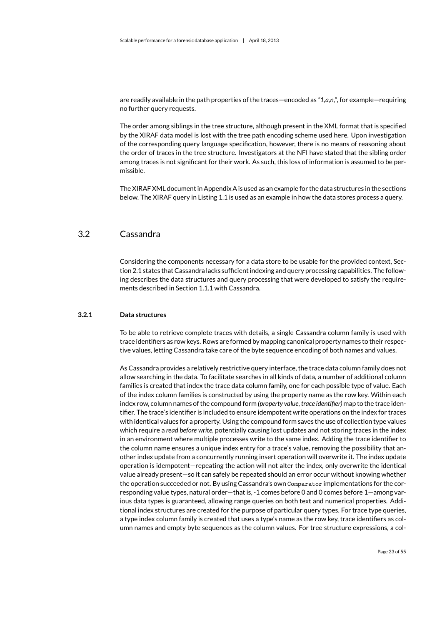are readily available in the path properties of the [traces—](#page-7-3)encoded as *"1,a,n,"*, for example—requiring no further query requests.

The order among siblings in the tree structure, although present in the XML format that is specified by the [XIRAF](#page-7-1) data model is lost with the tree path encoding scheme used here. Upon investigation of the corresponding query language specification, however, there is no means of reasoning about the order of [traces](#page-7-3) in the tree structure. Investigators at the [NFI](#page-7-0) have stated that the sibling order among [traces](#page-7-3) is not significant for their work. As such, this loss of information is assumed to be permissible.

<span id="page-24-0"></span>The [XIRAF](#page-7-1) XML document in Appendix [A](#page-51-0) is used as an example for the data structures in the sections below. The [XIRAF](#page-7-1) query in Listing [1.1](#page-11-1) is used as an example in how the data stores process a query.

## 3.2 Cassandra

Considering the components necessary for a data store to be usable for the provided context, Section [2.1](#page-18-1) states that Cassandra lacks sufficient indexing and query processing capabilities. The following describes the data structures and query processing that were developed to satisfy the requirements described in Section [1.1.1](#page-9-1) with Cassandra.

#### **3.2.1 Data structures**

<span id="page-24-1"></span>To be able to retrieve complete [traces](#page-7-3) with details, a single Cassandra column family is used with [trace](#page-7-3) identifiers as row keys. Rows are formed by mapping canonical property names to their respective values, letting Cassandra take care of the byte sequence encoding of both names and values.

As Cassandra provides a relatively restrictive query interface, the trace data column family does not allow searching in the data. To facilitate searches in all kinds of data, a number of additional column families is created that index the trace data column family, one for each possible type of value. Each of the index column families is constructed by using the property name as the row key. Within each index row, column names of the compound form *(property value, [trace](#page-7-3) identifier)* map to the [trace i](#page-7-3)dentifier. The [trace'](#page-7-3)s identifier is included to ensure idempotent write operations on the index for [traces](#page-7-3) with identical values for a property. Using the compound form saves the use of collection type values which require a *read before write*, potentially causing lost updates and not storing [traces](#page-7-3) in the index in an environment where multiple processes write to the same index. Adding the [trace](#page-7-3) identifier to the column name ensures a unique index entry for a [trace'](#page-7-3)s value, removing the possibility that another index update from a concurrently running insert operation will overwrite it. The index update operation is idempotent—repeating the action will not alter the index, only overwrite the identical value already present—so it can safely be repeated should an error occur without knowing whether the operation succeeded or not. By using Cassandra's own Comparator implementations for the corresponding value types, natural order—that is, -1 comes before 0 and 0 comes before 1—among various data types is guaranteed, allowing range queries on both text and numerical properties. Additional index structures are created for the purpose of particular query types. For [trace](#page-7-3) type queries, a type index column family is created that uses a type's name as the row key, [trace](#page-7-3) identifiers as column names and empty byte sequences as the column values. For tree structure expressions, a col-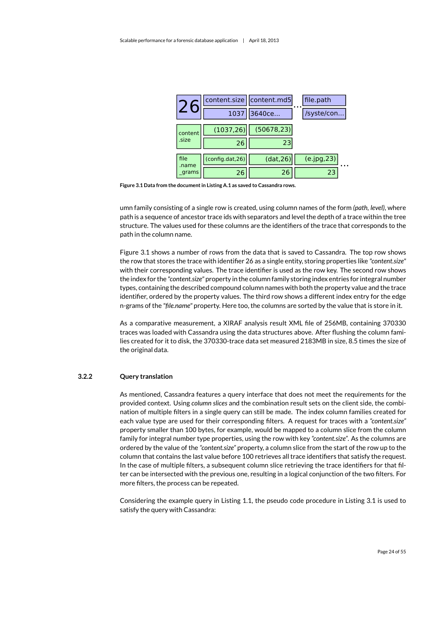|                | content.size    | content.md5 | file.path<br>. |
|----------------|-----------------|-------------|----------------|
|                | 1037            | 3640ce      | /syste/con     |
| content        | (1037, 26)      | (50678, 23) |                |
| .size          | 26              | 23          |                |
| file           | (config.dat,26) | (data, 26)  | (e.jpg, 23)    |
| .name<br>grams | 26              | 26          | 23             |

<span id="page-25-1"></span>**Figure 3.1 Data from the document in Listing [A.1](#page-51-2) as saved to Cassandra rows.**

umn family consisting of a single row is created, using column names of the form *(path, level)*, where path is a sequence of ancestor [trace](#page-7-3) ids with separators and level the depth of a trace within the tree structure. The values used for these columns are the identifiers of the [trace](#page-7-3) that corresponds to the path in the column name.

Figure [3.1](#page-25-1) shows a number of rows from the data that is saved to Cassandra. The top row shows the row that stores the [trace](#page-7-3) with identifier 26 as a single entity, storing properties like *"content.size"* with their corresponding values. The [trace](#page-7-3) identifier is used as the row key. The second row shows the index for the *"content.size"* property in the column family storing index entries for integral number types, containing the described compound column names with both the property value and the [trace](#page-7-3) identifier, ordered by the property values. The third row shows a different index entry for the edge n-grams of the *"file.name"* property. Here too, the columns are sorted by the value that is store in it.

As a comparative measurement, a [XIRAF](#page-7-1) analysis result XML file of 256MB, containing 370330 [traces](#page-7-3) was loaded with Cassandra using the data structures above. After flushing the column families created for it to disk, the 370330[-trace](#page-7-3) data set measured 2183MB in size, 8.5 times the size of the original data.

#### **3.2.2 Query translation**

<span id="page-25-0"></span>As mentioned, Cassandra features a query interface that does not meet the requirements for the provided context. Using *column slices* and the combination result sets on the client side, the combination of multiple filters in a single query can still be made. The index column families created for each value type are used for their corresponding filters. A request for [traces](#page-7-3) with a *"content.size"* property smaller than 100 bytes, for example, would be mapped to a column slice from the column family for integral number type properties, using the row with key *"content.size"*. As the columns are ordered by the value of the *"content.size"* property, a column slice from the start of the row up to the column that contains the last value before 100 retrieves all [trace](#page-7-3) identifiers that satisfy the request. In the case of multiple filters, a subsequent column slice retrieving the [trace](#page-7-3) identifiers for that filter can be intersected with the previous one, resulting in a logical conjunction of the two filters. For more filters, the process can be repeated.

Considering the example query in Listing [1.1,](#page-11-1) the pseudo code procedure in Listing [3.1](#page-26-2) is used to satisfy the query with Cassandra: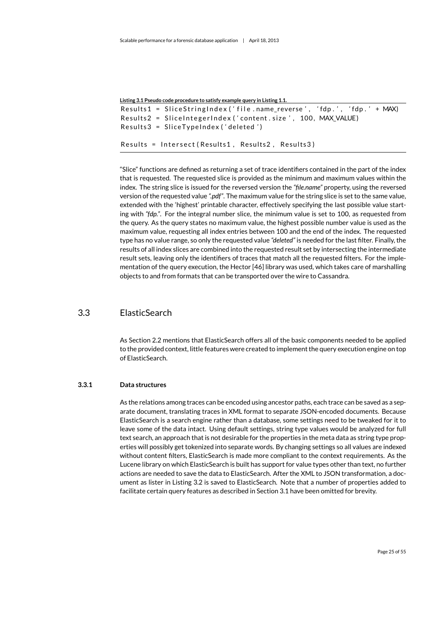<span id="page-26-2"></span>

| Listing 3.1 Pseudo code procedure to satisfy example query in Listing 1.1. |  |  |  |  |  |  |  |  |
|----------------------------------------------------------------------------|--|--|--|--|--|--|--|--|
| Results1 = SliceStringIndex ('file.name_reverse', 'fdp.', 'fdp.' + MAX)    |  |  |  |  |  |  |  |  |
| Results2 = SliceIntegerIndex ('content.size', 100, MAX VALUE)              |  |  |  |  |  |  |  |  |
| $Results3 = SliceTypeIndex('deleted')$                                     |  |  |  |  |  |  |  |  |
| Results = Intersect(Results1, Results2, Results3)                          |  |  |  |  |  |  |  |  |

"Slice" functions are defined as returning a set of [trace](#page-7-3) identifiers contained in the part of the index that is requested. The requested slice is provided as the minimum and maximum values within the index. The string slice is issued for the reversed version the *"file.name"* property, using the reversed version of the requested value *".pdf"*. The maximum value for the string slice is set to the same value, extended with the 'highest' printable character, effectively specifying the last possible value starting with *"fdp."*. For the integral number slice, the minimum value is set to 100, as requested from the query. As the query states no maximum value, the highest possible number value is used as the maximum value, requesting all index entries between 100 and the end of the index. The requested type has no value range, so only the requested value *"deleted"* is needed for the last filter. Finally, the results of all index slices are combined into the requested result set by intersecting the intermediate result sets, leaving only the identifiers of [traces](#page-7-3) that match all the requested filters. For the implementation of the query execution, the Hector [\[46\]](#page-49-12) library was used, which takes care of marshalling objects to and from formats that can be transported over the wire to Cassandra.

### 3.3 ElasticSearch

<span id="page-26-0"></span>As Section [2.2](#page-19-0) mentions that ElasticSearch offers all of the basic components needed to be applied to the provided context, little features were created to implement the query execution engine on top of ElasticSearch.

#### **3.3.1 Data structures**

<span id="page-26-1"></span>As the relations among [traces](#page-7-3) can be encoded using ancestor paths, each [trace](#page-7-3) can be saved as a separate document, translating [traces](#page-7-3) in XML format to separate JSON-encoded documents. Because ElasticSearch is a search engine rather than a database, some settings need to be tweaked for it to leave some of the data intact. Using default settings, string type values would be analyzed for full text search, an approach that is not desirable for the properties in the meta data as string type properties will possibly get tokenized into separate words. By changing settings so all values are indexed without content filters, ElasticSearch is made more compliant to the context requirements. As the Lucene library on which ElasticSearch is built has support for value types other than text, no further actions are needed to save the data to ElasticSearch. After the XML to JSON transformation, a document as lister in Listing [3.2](#page-27-1) is saved to ElasticSearch. Note that a number of properties added to facilitate certain query features as described in Section [3.1](#page-22-1) have been omitted for brevity.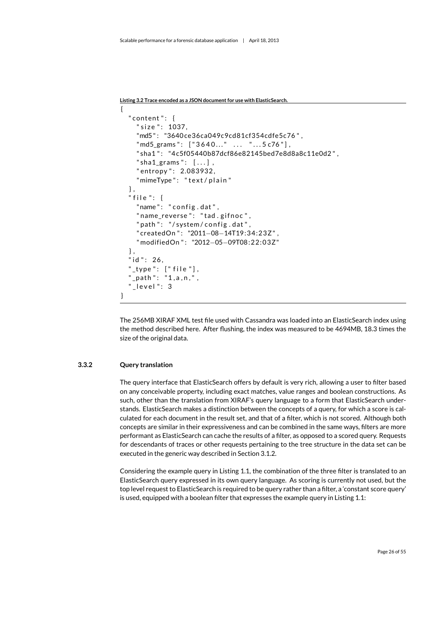<span id="page-27-1"></span>**Listing 3.2 [Trace](#page-7-3) encoded as a JSON document for use with ElasticSearch.**

```
{
  " content": \{" size ": 1037.
    "md5 " : "3640 ce36ca049c9cd81cf354cdfe5c76 " ,
    "md5_grams": ["3640..." ... "...5 c76"],
    " sha1": "4c5f05440b87dcf86e82145bed7e8d8a8c11e0d2",
    " sha1 grams": [...].
    " entropy ": 2.083932,
    "mimeType": "text/plain"
  } ,
  " file ": \{"name": "config.dat",
    " name reverse": "tad.gifnoc",
    " path ": "/ system/config.dat",
    " createdOn ": "2011-08-14T19:34:23Z",
    " modifiedOn " : "2012−05−09T08:22:03Z"
  } ,
  "id ": 26,
  " type ": ['file "],
  "_path": "1,a,n,",
   \_level": 3
}
```
The 256MB [XIRAF](#page-7-1) XML test file used with Cassandra was loaded into an ElasticSearch index using the method described here. After flushing, the index was measured to be 4694MB, 18.3 times the size of the original data.

#### **3.3.2 Query translation**

<span id="page-27-0"></span>The query interface that ElasticSearch offers by default is very rich, allowing a user to filter based on any conceivable property, including exact matches, value ranges and boolean constructions. As such, other than the translation from [XIRAF'](#page-7-1)s query language to a form that ElasticSearch understands. ElasticSearch makes a distinction between the concepts of a query, for which a score is calculated for each document in the result set, and that of a filter, which is not scored. Although both concepts are similar in their expressiveness and can be combined in the same ways, filters are more performant as ElasticSearch can cache the results of a filter, as opposed to a scored query. Requests for descendants of [traces](#page-7-3) or other requests pertaining to the tree structure in the data set can be executed in the generic way described in Section [3.1.2.](#page-23-0)

Considering the example query in Listing [1.1,](#page-11-1) the combination of the three filter is translated to an ElasticSearch query expressed in its own query language. As scoring is currently not used, but the top level request to ElasticSearch is required to be query rather than a filter, a 'constant score query' is used, equipped with a boolean filter that expresses the example query in Listing [1.1:](#page-11-1)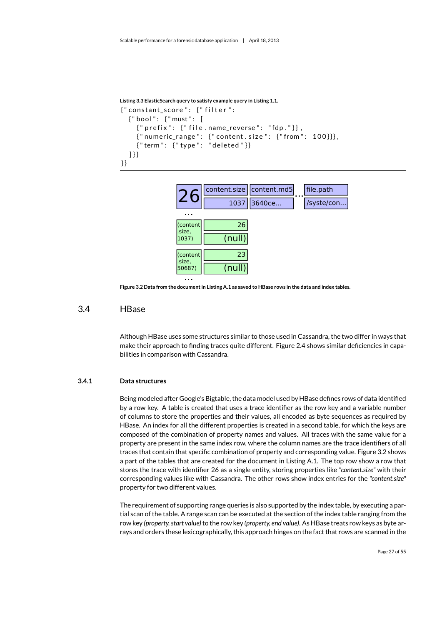```
Listing 3.3 ElasticSearch query to satisfy example query in Listing 1.1.
{" constant_score": } {" filter":}
   { " bool " : { " must " : [
      { " p r e f i x " : { " f i l e . name_reverse " : " fdp . " } } ,
      {\{ "numeric\_range": { } "content.size": { } "from": 100] } \},{T term": } {Ttype": } "deleted"]] } }
} }
```


**Figure 3.2 Data from the document in Listing [A.1](#page-51-2) as saved to HBase rows in the data and index tables.**

### 3.4 HBase

<span id="page-28-2"></span><span id="page-28-0"></span>Although HBase uses some structures similar to those used in Cassandra, the two differ in ways that make their approach to finding [traces](#page-7-3) quite different. Figure [2.4](#page-20-1) shows similar deficiencies in capabilities in comparison with Cassandra.

#### **3.4.1 Data structures**

<span id="page-28-1"></span>Being modeled after Google's Bigtable, the data model used by HBase defines rows of data identified by a row key. A table is created that uses a [trace](#page-7-3) identifier as the row key and a variable number of columns to store the properties and their values, all encoded as byte sequences as required by HBase. An index for all the different properties is created in a second table, for which the keys are composed of the combination of property names and values. All [traces](#page-7-3) with the same value for a property are present in the same index row, where the column names are the [trace](#page-7-3) identifiers of all [traces](#page-7-3) that contain that specific combination of property and corresponding value. Figure [3.2](#page-28-2) shows a part of the tables that are created for the document in Listing [A.1.](#page-51-2) The top row show a row that stores the [trace](#page-7-3) with identifier 26 as a single entity, storing properties like *"content.size"* with their corresponding values like with Cassandra. The other rows show index entries for the *"content.size"* property for two different values.

The requirement of supporting range queries is also supported by the index table, by executing a partial scan of the table. A range scan can be executed at the section of the index table ranging from the row key *(property, start value)*to the row key *(property, end value)*. As HBase treats row keys as byte arrays and orders these lexicographically, this approach hinges on the fact that rows are scanned in the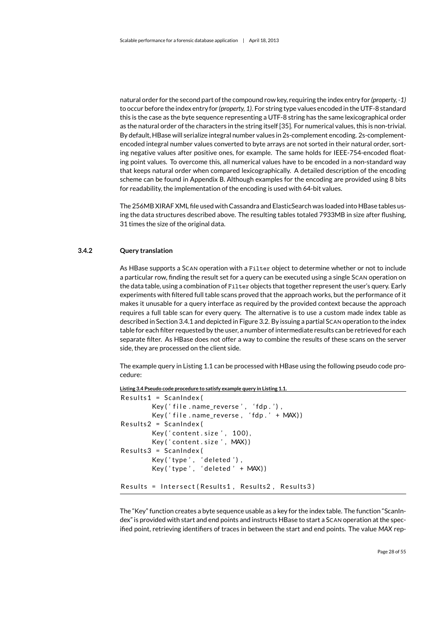natural order for the second part of the compound row key, requiring the index entry for *(property, -1)* to occur before the index entry for *(property, 1)*. For string type values encoded in the UTF-8 standard this is the case as the byte sequence representing a UTF-8 string has the same lexicographical order as the natural order of the characters in the string itself [\[35\]](#page-48-7). For numerical values, this is non-trivial. By default, HBase will serialize integral number values in 2s-complement encoding. 2s-complementencoded integral number values converted to byte arrays are not sorted in their natural order, sorting negative values after positive ones, for example. The same holds for IEEE-754-encoded floating point values. To overcome this, all numerical values have to be encoded in a non-standard way that keeps natural order when compared lexicographically. A detailed description of the encoding scheme can be found in Appendix [B.](#page-54-0) Although examples for the encoding are provided using 8 bits for readability, the implementation of the encoding is used with 64-bit values.

The 256MB [XIRAF X](#page-7-1)ML file used with Cassandra and ElasticSearch was loaded into HBase tables using the data structures described above. The resulting tables totaled 7933MB in size after flushing, 31 times the size of the original data.

#### **3.4.2 Query translation**

<span id="page-29-0"></span>As HBase supports a SCAN operation with a Filter object to determine whether or not to include a particular row, finding the result set for a query can be executed using a single SCAN operation on the data table, using a combination of Filter objects that together represent the user's query. Early experiments with filtered full table scans proved that the approach works, but the performance of it makes it unusable for a query interface as required by the provided context because the approach requires a full table scan for every query. The alternative is to use a custom made index table as described in Section [3.4.1](#page-28-1) and depicted in Figure [3.2.](#page-28-2) By issuing a partial SCAN operation to the index table for each filter requested by the user, a number of intermediate results can be retrieved for each separate filter. As HBase does not offer a way to combine the results of these scans on the server side, they are processed on the client side.

The example query in Listing [1.1](#page-11-1) can be processed with HBase using the following pseudo code procedure:

```
Listing 3.4 Pseudo code procedure to satisfy example query in Listing 1.1.
```

```
Results1 = ScanIndex(Key('file.name_reverse', 'fdp.'),
        Key ('file.name_reverse, 'fdp.' + MAX))
Results2 = ScanIndex (Key ('content.size', 100),
        Key ('content.size', MAX))
Results3 = ScanIndex(Key ('type', 'deleted'),
        Key('type', 'deleted' + MAX))Results = Intersect (Results1, Results2, Results3)
```
The "Key" function creates a byte sequence usable as a key for the index table. The function "ScanIndex" is provided with start and end points and instructs HBase to start a SCAN operation at the specified point, retrieving identifiers of [traces](#page-7-3) in between the start and end points. The value *MAX* rep-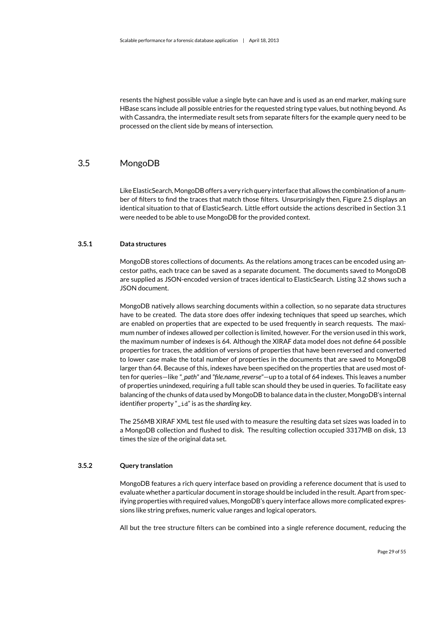resents the highest possible value a single byte can have and is used as an end marker, making sure HBase scans include all possible entries for the requested string type values, but nothing beyond. As with Cassandra, the intermediate result sets from separate filters for the example query need to be processed on the client side by means of intersection.

### 3.5 MongoDB

<span id="page-30-0"></span>Like ElasticSearch, MongoDB offers a very rich query interface that allows the combination of a number of filters to find the [traces](#page-7-3) that match those filters. Unsurprisingly then, Figure [2.5](#page-21-1) displays an identical situation to that of ElasticSearch. Little effort outside the actions described in Section [3.1](#page-22-1) were needed to be able to use MongoDB for the provided context.

#### **3.5.1 Data structures**

<span id="page-30-1"></span>MongoDB stores collections of documents. As the relations among [traces](#page-7-3) can be encoded using ancestor paths, each [trace](#page-7-3) can be saved as a separate document. The documents saved to MongoDB are supplied as JSON-encoded version of [traces](#page-7-3) identical to ElasticSearch. Listing [3.2](#page-27-1) shows such a JSON document.

MongoDB natively allows searching documents within a collection, so no separate data structures have to be created. The data store does offer indexing techniques that speed up searches, which are enabled on properties that are expected to be used frequently in search requests. The maximum number of indexes allowed per collection is limited, however. For the version used in this work, the maximum number of indexes is 64. Although the [XIRAF](#page-7-1) data model does not define 64 possible properties for [traces,](#page-7-3) the addition of versions of properties that have been reversed and converted to lower case make the total number of properties in the documents that are saved to MongoDB larger than 64. Because of this, indexes have been specified on the properties that are used most often for queries—like *"\_path"* and *"file.name\_reverse"*—up to a total of 64 indexes. This leaves a number of properties unindexed, requiring a full table scan should they be used in queries. To facilitate easy balancing of the chunks of data used by MongoDB to balance data in the cluster, MongoDB's internal identifier property "\_id" is as the *sharding key*.

The 256MB [XIRAF](#page-7-1) XML test file used with to measure the resulting data set sizes was loaded in to a MongoDB collection and flushed to disk. The resulting collection occupied 3317MB on disk, 13 times the size of the original data set.

#### **3.5.2 Query translation**

<span id="page-30-2"></span>MongoDB features a rich query interface based on providing a reference document that is used to evaluate whether a particular document in storage should be included in the result. Apart from specifying properties with required values, MongoDB's query interface allows more complicated expressions like string prefixes, numeric value ranges and logical operators.

All but the tree structure filters can be combined into a single reference document, reducing the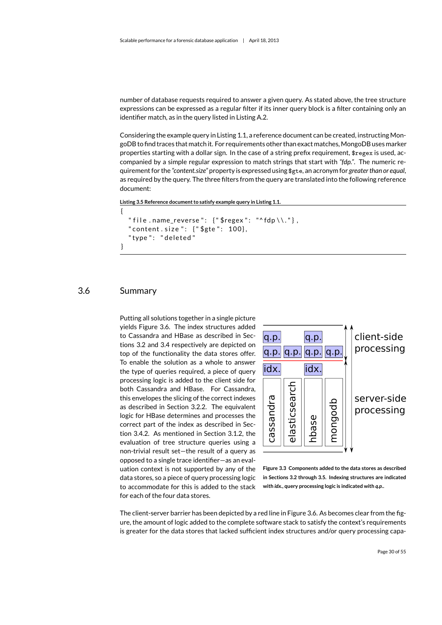number of database requests required to answer a given query. As stated above, the tree structure expressions can be expressed as a regular filter if its inner query block is a filter containing only an identifier match, as in the query listed in Listing [A.2.](#page-52-1)

Considering the example query in Listing [1.1,](#page-11-1) a reference document can be created, instructing MongoDB to find [traces](#page-7-3) that match it. For requirements other than exact matches, MongoDB uses marker properties starting with a dollar sign. In the case of a string prefix requirement, \$regex is used, accompanied by a simple regular expression to match strings that start with *"fdp."*. The numeric requirement for the *"content.size"* property is expressed using \$gte, an acronym for *greater than or equal*, as required by the query. The three filters from the query are translated into the following reference document:

```
Listing 3.5 Reference document to satisfy example query in Listing 1.1.
```

```
{
  " file .name_reverse": \{"$regex": "^fdp \\."},
  " content . size ": {"$gte": 100},
  " type ": " deleted"
}
```
## 3.6 Summary

<span id="page-31-0"></span>Putting all solutions together in a single picture yields Figure [3.6.](#page-31-0) The index structures added to Cassandra and HBase as described in Sections [3.2](#page-24-0) and [3.4](#page-28-0) respectively are depicted on top of the functionality the data stores offer. To enable the solution as a whole to answer the type of queries required, a piece of query processing logic is added to the client side for both Cassandra and HBase. For Cassandra, this envelopes the slicing of the correct indexes as described in Section [3.2.2.](#page-25-0) The equivalent logic for HBase determines and processes the correct part of the index as described in Section [3.4.2.](#page-29-0) As mentioned in Section [3.1.2,](#page-23-0) the evaluation of tree structure queries using a non-trivial result set—the result of a query as opposed to a single [trace](#page-7-3) identifier—as an evaluation context is not supported by any of the data stores, so a piece of query processing logic to accommodate for this is added to the stack for each of the four data stores.



**Figure 3.3 Components added to the data stores as described in Sections [3.2](#page-24-0) through [3.5.](#page-30-0) Indexing structures are indicated with** *idx.***, query processing logic is indicated with** *q.p.***.**

The client-server barrier has been depicted by a red line in Figure [3.6.](#page-31-0) As becomes clear from the figure, the amount of logic added to the complete software stack to satisfy the context's requirements is greater for the data stores that lacked sufficient index structures and/or query processing capa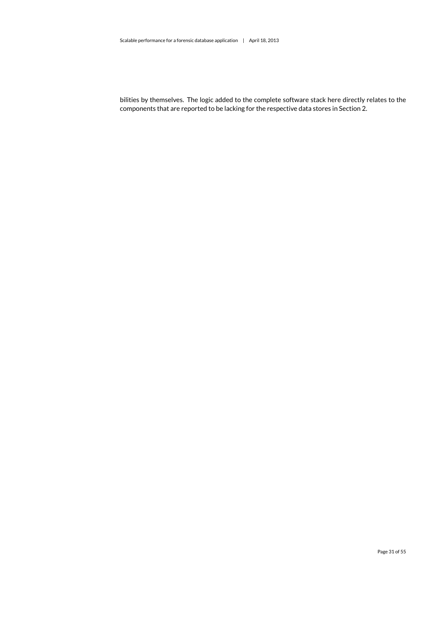bilities by themselves. The logic added to the complete software stack here directly relates to the components that are reported to be lacking for the respective data stores in Section [2.](#page-18-0)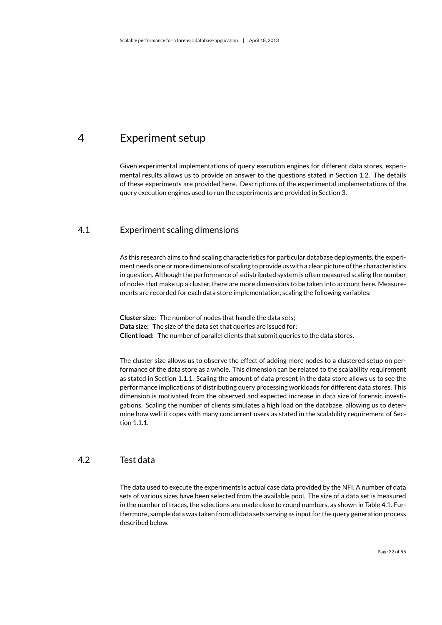## <span id="page-33-0"></span>4 Experiment setup

Given experimental implementations of query execution engines for different data stores, experimental results allows us to provide an answer to the questions stated in Section [1.2.](#page-13-0) The details of these experiments are provided here. Descriptions of the experimental implementations of the query execution engines used to run the experiments are provided in Section [3.](#page-22-0)

## 4.1 Experiment scaling dimensions

<span id="page-33-1"></span>As this research aims to find scaling characteristics for particular database deployments, the experiment needs one or more dimensions of scaling to provide us with a clear picture of the characteristics in question. Although the performance of a distributed system is often measured scaling the number of nodes that make up a cluster, there are more dimensions to be taken into account here. Measurements are recorded for each data store implementation, scaling the following variables:

**Cluster size:** The number of nodes that handle the data sets; **Data size:** The size of the data set that queries are issued for; **Client load:** The number of parallel clients that submit queries to the data stores.

The cluster size allows us to observe the effect of adding more nodes to a clustered setup on performance of the data store as a whole. This dimension can be related to the scalability requirement as stated in Section [1.1.1.](#page-9-1) Scaling the amount of data present in the data store allows us to see the performance implications of distributing query processing workloads for different data stores. This dimension is motivated from the observed and expected increase in data size of forensic investigations. Scaling the number of clients simulates a high load on the database, allowing us to determine how well it copes with many concurrent users as stated in the scalability requirement of Section [1.1.1.](#page-9-1)

## 4.2 Test data

<span id="page-33-2"></span>The data used to execute the experiments is actual case data provided by the [NFI.](#page-7-0) A number of data sets of various sizes have been selected from the available pool. The size of a data set is measured in the number of [traces,](#page-7-3) the selections are made close to round numbers, as shown in Table [4.1.](#page-34-2) Furthermore, sample data was taken from all data sets serving as input for the query generation process described below.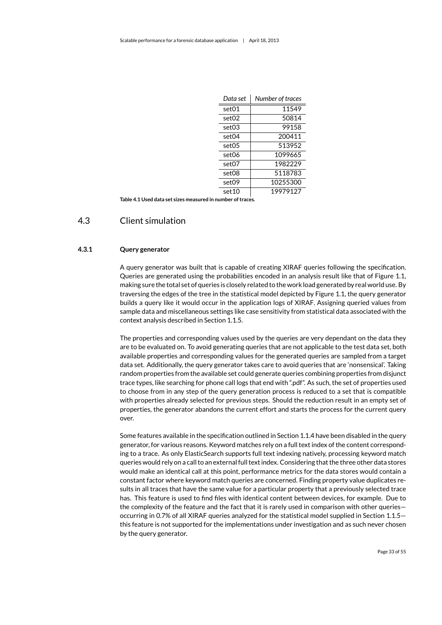| Data set          | Number of traces |
|-------------------|------------------|
| set01             | 11549            |
| set <sub>02</sub> | 50814            |
| set03             | 99158            |
| set04             | 200411           |
| set05             | 513952           |
| set06             | 1099665          |
| set07             | 1982229          |
| set08             | 5118783          |
| set09             | 10255300         |
| set 10            | 19979127         |

<span id="page-34-2"></span><span id="page-34-0"></span>**Table 4.1 Used data set sizes measured in number of [traces.](#page-7-3)**

### 4.3 Client simulation

#### **4.3.1 Query generator**

<span id="page-34-1"></span>A query generator was built that is capable of creating [XIRAF](#page-7-1) queries following the specification. Queries are generated using the probabilities encoded in an analysis result like that of Figure [1.1,](#page-12-1) making sure the total set of queries is closely related to the work load generated by real world use. By traversing the edges of the tree in the statistical model depicted by Figure [1.1,](#page-12-1) the query generator builds a query like it would occur in the application logs of [XIRAF.](#page-7-1) Assigning queried values from sample data and miscellaneous settings like case sensitivity from statistical data associated with the context analysis described in Section [1.1.5.](#page-12-0)

The properties and corresponding values used by the queries are very dependant on the data they are to be evaluated on. To avoid generating queries that are not applicable to the test data set, both available properties and corresponding values for the generated queries are sampled from a target data set. Additionally, the query generator takes care to avoid queries that are 'nonsensical'. Taking random properties from the available set could generate queries combining properties from disjunct [trace](#page-7-3) types, like searching for phone call logs that end with ".pdf". As such, the set of properties used to choose from in any step of the query generation process is reduced to a set that is compatible with properties already selected for previous steps. Should the reduction result in an empty set of properties, the generator abandons the current effort and starts the process for the current query over.

Some features available in the specification outlined in Section [1.1.4](#page-11-0) have been disabled in the query generator, for various reasons. Keyword matches rely on a full text index of the content corresponding to a [trace.](#page-7-3) As only ElasticSearch supports full text indexing natively, processing keyword match queries would rely on a call to an external full text index. Considering that the three other data stores would make an identical call at this point, performance metrics for the data stores would contain a constant factor where keyword match queries are concerned. Finding property value duplicates results in all [traces](#page-7-3) that have the same value for a particular property that a previously selected [trace](#page-7-3) has. This feature is used to find files with identical content between devices, for example. Due to the complexity of the feature and the fact that it is rarely used in comparison with other queries occurring in 0.7% of all [XIRAF](#page-7-1) queries analyzed for the statistical model supplied in Section [1.1.5](#page-12-0) this feature is not supported for the implementations under investigation and as such never chosen by the query generator.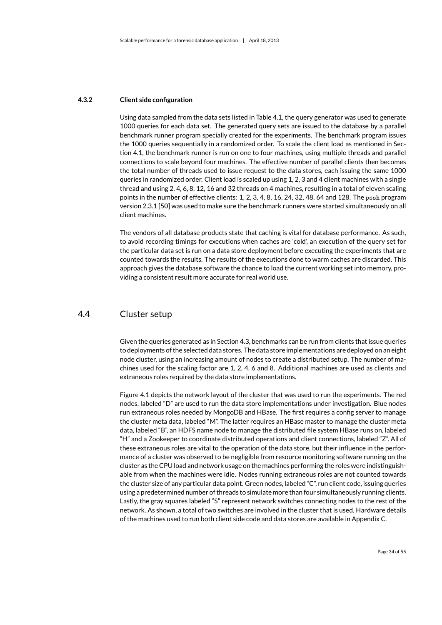#### **4.3.2 Client side configuration**

<span id="page-35-0"></span>Using data sampled from the data sets listed in Table [4.1,](#page-34-2) the query generator was used to generate 1000 queries for each data set. The generated query sets are issued to the database by a parallel benchmark runner program specially created for the experiments. The benchmark program issues the 1000 queries sequentially in a randomized order. To scale the client load as mentioned in Section [4.1,](#page-33-1) the benchmark runner is run on one to four machines, using multiple threads and parallel connections to scale beyond four machines. The effective number of parallel clients then becomes the total number of threads used to issue request to the data stores, each issuing the same 1000 queries in randomized order. Client load is scaled up using 1, 2, 3 and 4 client machines with a single thread and using 2, 4, 6, 8, 12, 16 and 32 threads on 4 machines, resulting in a total of eleven scaling points in the number of effective clients: 1, 2, 3, 4, 8, 16, 24, 32, 48, 64 and 128. The pssh program version 2.3.1 [\[50\]](#page-49-13) was used to make sure the benchmark runners were started simultaneously on all client machines.

The vendors of all database products state that caching is vital for database performance. As such, to avoid recording timings for executions when caches are 'cold', an execution of the query set for the particular data set is run on a data store deployment before executing the experiments that are counted towards the results. The results of the executions done to warm caches are discarded. This approach gives the database software the chance to load the current [working set](#page-7-2) into memory, providing a consistent result more accurate for real world use.

## 4.4 Cluster setup

<span id="page-35-1"></span>Given the queries generated as in Section [4.3,](#page-34-0) benchmarks can be run from clients that issue queries to deployments of the selected data stores. The data store implementations are deployed on an eight node cluster, using an increasing amount of nodes to create a distributed setup. The number of machines used for the scaling factor are 1, 2, 4, 6 and 8. Additional machines are used as clients and extraneous roles required by the data store implementations.

Figure [4.1](#page-36-1) depicts the network layout of the cluster that was used to run the experiments. The red nodes, labeled "D" are used to run the data store implementations under investigation. Blue nodes run extraneous roles needed by MongoDB and HBase. The first requires a config server to manage the cluster meta data, labeled "M". The latter requires an HBase master to manage the cluster meta data, labeled "B", an HDFS name node to manage the distributed file system HBase runs on, labeled "H" and a Zookeeper to coordinate distributed operations and client connections, labeled "Z". All of these extraneous roles are vital to the operation of the data store, but their influence in the performance of a cluster was observed to be negligible from resource monitoring software running on the cluster as the CPU load and network usage on the machines performing the roles were indistinguishable from when the machines were idle. Nodes running extraneous roles are not counted towards the cluster size of any particular data point. Green nodes, labeled "C", run client code, issuing queries using a predetermined number of threads to simulate more than four simultaneously running clients. Lastly, the gray squares labeled "S" represent network switches connecting nodes to the rest of the network. As shown, a total of two switches are involved in the cluster that is used. Hardware details of the machines used to run both client side code and data stores are available in Appendix [C.](#page-56-1)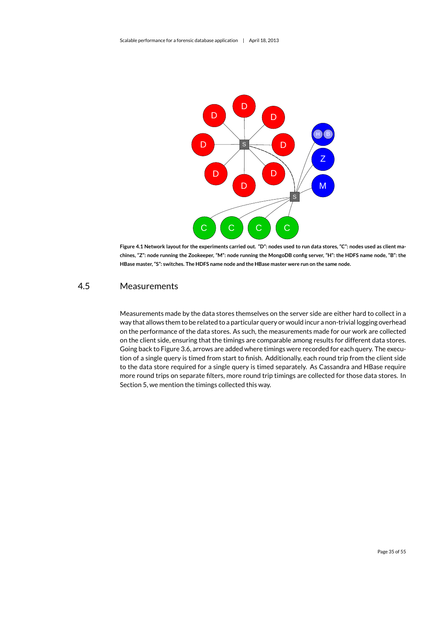

<span id="page-36-1"></span>**Figure 4.1 Network layout for the experiments carried out. "D": nodes used to run data stores, "C": nodes used as client machines, "Z": node running the Zookeeper, "M": node running the MongoDB config server, "H": the HDFS name node, "B": the HBase master, "S": switches. The HDFS name node and the HBase master were run on the same node.**

## 4.5 Measurements

<span id="page-36-0"></span>Measurements made by the data stores themselves on the server side are either hard to collect in a way that allows them to be related to a particular query or would incur a non-trivial logging overhead on the performance of the data stores. As such, the measurements made for our work are collected on the client side, ensuring that the timings are comparable among results for different data stores. Going back to Figure [3.6,](#page-31-0) arrows are added where timings were recorded for each query. The execution of a single query is timed from start to finish. Additionally, each round trip from the client side to the data store required for a single query is timed separately. As Cassandra and HBase require more round trips on separate filters, more round trip timings are collected for those data stores. In Section [5,](#page-37-0) we mention the timings collected this way.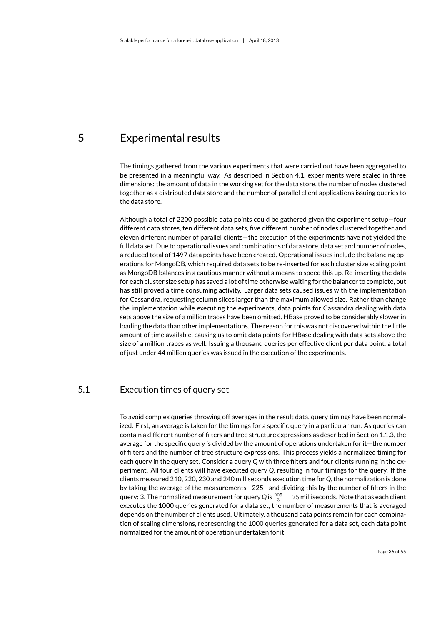## <span id="page-37-0"></span>5 Experimental results

The timings gathered from the various experiments that were carried out have been aggregated to be presented in a meaningful way. As described in Section [4.1,](#page-33-1) experiments were scaled in three dimensions: the amount of data in the working set for the data store, the number of nodes clustered together as a distributed data store and the number of parallel client applications issuing queries to the data store.

Although a total of 2200 possible data points could be gathered given the experiment setup—four different data stores, ten different data sets, five different number of nodes clustered together and eleven different number of parallel clients—the execution of the experiments have not yielded the full data set. Due to operational issues and combinations of data store, data set and number of nodes, a reduced total of 1497 data points have been created. Operational issues include the balancing operations for MongoDB, which required data sets to be re-inserted for each cluster size scaling point as MongoDB balances in a cautious manner without a means to speed this up. Re-inserting the data for each cluster size setup has saved a lot of time otherwise waiting for the balancer to complete, but has still proved a time consuming activity. Larger data sets caused issues with the implementation for Cassandra, requesting column slices larger than the maximum allowed size. Rather than change the implementation while executing the experiments, data points for Cassandra dealing with data sets above the size of a million [traces](#page-7-3) have been omitted. HBase proved to be considerably slower in loading the data than other implementations. The reason for this was not discovered within the little amount of time available, causing us to omit data points for HBase dealing with data sets above the size of a million [traces](#page-7-3) as well. Issuing a thousand queries per effective client per data point, a total of just under 44 million queries was issued in the execution of the experiments.

## 5.1 Execution times of query set

<span id="page-37-1"></span>To avoid complex queries throwing off averages in the result data, query timings have been normalized. First, an average is taken for the timings for a specific query in a particular run. As queries can contain a different number of filters and tree structure expressions as described in Section [1.1.3,](#page-10-0) the average for the specific query is divided by the amount of operations undertaken for it—the number of filters and the number of tree structure expressions. This process yields a normalized timing for each query in the query set. Consider a query *Q* with three filters and four clients running in the experiment. All four clients will have executed query *Q*, resulting in four timings for the query. If the clients measured 210, 220, 230 and 240 milliseconds execution time for *Q*, the normalization is done by taking the average of the measurements—225—and dividing this by the number of filters in the query: 3. The normalized measurement for query Q is  $\frac{225}{3} = 75$  milliseconds. Note that as each client executes the 1000 queries generated for a data set, the number of measurements that is averaged depends on the number of clients used. Ultimately, a thousand data points remain for each combination of scaling dimensions, representing the 1000 queries generated for a data set, each data point normalized for the amount of operation undertaken for it.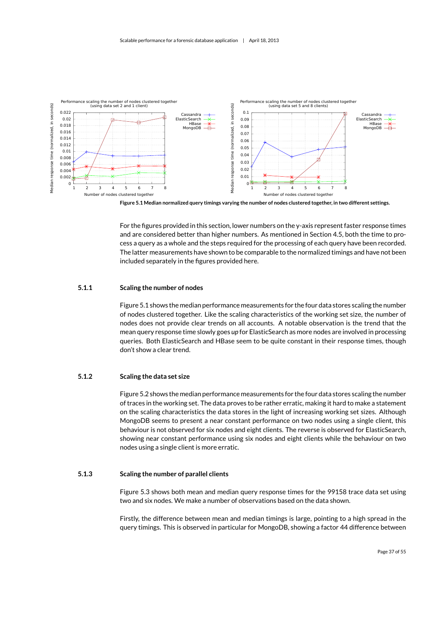

<span id="page-38-3"></span>**Figure 5.1 Median normalized query timings varying the number of nodes clustered together, in two different settings.**

For the figures provided in this section, lower numbers on the y-axis represent faster response times and are considered better than higher numbers. As mentioned in Section [4.5,](#page-36-0) both the time to process a query as a whole and the steps required for the processing of each query have been recorded. The latter measurements have shown to be comparable to the normalized timings and have not been included separately in the figures provided here.

#### **5.1.1 Scaling the number of nodes**

<span id="page-38-0"></span>Figure [5.1](#page-38-3) shows the median performance measurements for the four data stores scaling the number of nodes clustered together. Like the scaling characteristics of the [working set](#page-7-2) size, the number of nodes does not provide clear trends on all accounts. A notable observation is the trend that the mean query response time slowly goes *up* for ElasticSearch as more nodes are involved in processing queries. Both ElasticSearch and HBase seem to be quite constant in their response times, though don't show a clear trend.

#### **5.1.2 Scaling the data set size**

<span id="page-38-1"></span>Figure [5.2](#page-39-0) shows the median performance measurements for the four data stores scaling the number of traces in the [working set.](#page-7-2) The data proves to be rather erratic, making it hard to make a statement on the scaling characteristics the data stores in the light of increasing [working set](#page-7-2) sizes. Although MongoDB seems to present a near constant performance on two nodes using a single client, this behaviour is not observed for six nodes and eight clients. The reverse is observed for ElasticSearch, showing near constant performance using six nodes and eight clients while the behaviour on two nodes using a single client is more erratic.

#### **5.1.3 Scaling the number of parallel clients**

<span id="page-38-2"></span>Figure [5.3](#page-39-1) shows both mean and median query response times for the 99158 [trace](#page-7-3) data set using two and six nodes. We make a number of observations based on the data shown.

Firstly, the difference between mean and median timings is large, pointing to a high spread in the query timings. This is observed in particular for MongoDB, showing a factor 44 difference between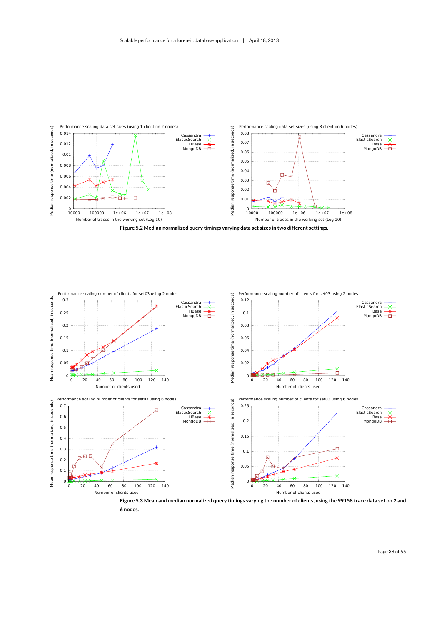

<span id="page-39-0"></span>

<span id="page-39-1"></span>**6 nodes.**

Page 38 of [55](#page-56-0)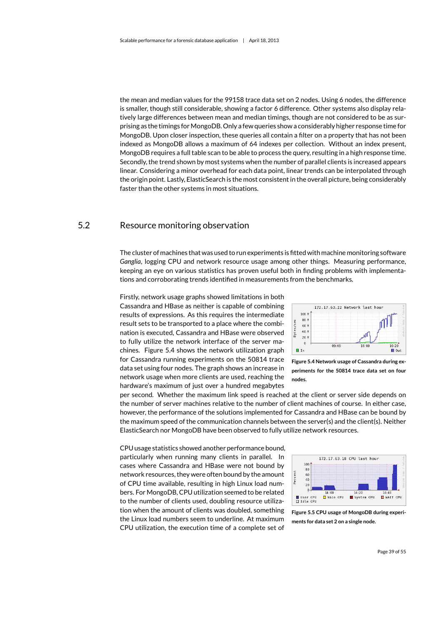the mean and median values for the 99158 [trace](#page-7-3) data set on 2 nodes. Using 6 nodes, the difference is smaller, though still considerable, showing a factor 6 difference. Other systems also display relatively large differences between mean and median timings, though are not considered to be as surprising as the timings forMongoDB. Only a few queries show a considerably higher response time for MongoDB. Upon closer inspection, these queries all contain a filter on a property that has not been indexed as MongoDB allows a maximum of 64 indexes per collection. Without an index present, MongoDB requires a full table scan to be able to process the query, resulting in a high response time. Secondly, the trend shown by most systems when the number of parallel clients is increased appears linear. Considering a minor overhead for each data point, linear trends can be interpolated through the origin point. Lastly, ElasticSearch is the most consistent in the overall picture, being considerably faster than the other systems in most situations.

## 5.2 Resource monitoring observation

<span id="page-40-0"></span>The cluster of machines that was used to run experiments is fitted with machine monitoring software *Ganglia*, logging CPU and network resource usage among other things. Measuring performance, keeping an eye on various statistics has proven useful both in finding problems with implementations and corroborating trends identified in measurements from the benchmarks.

Firstly, network usage graphs showed limitations in both Cassandra and HBase as neither is capable of combining results of expressions. As this requires the intermediate result sets to be transported to a place where the combination is executed, Cassandra and HBase were observed to fully utilize the network interface of the server machines. Figure [5.4](#page-40-1) shows the network utilization graph for Cassandra running experiments on the 50814 [trace](#page-7-3) data set using four nodes. The graph shows an increase in network usage when more clients are used, reaching the hardware's maximum of just over a hundred megabytes



<span id="page-40-1"></span>**Figure 5.4 Network usage of Cassandra during experiments for the 50814 [trace](#page-7-3) data set on four nodes.**

per second. Whether the maximum link speed is reached at the client or server side depends on the number of server machines relative to the number of client machines of course. In either case, however, the performance of the solutions implemented for Cassandra and HBase can be bound by the maximum speed of the communication channels between the server(s) and the client(s). Neither ElasticSearch nor MongoDB have been observed to fully utilize network resources.

CPU usage statistics showed another performance bound, particularly when running many clients in parallel. In cases where Cassandra and HBase were not bound by network resources, they were often bound by the amount of CPU time available, resulting in high Linux load numbers. For MongoDB, CPU utilization seemed to be related to the number of clients used, doubling resource utilization when the amount of clients was doubled, something the Linux load numbers seem to underline. At maximum CPU utilization, the execution time of a complete set of



<span id="page-40-2"></span>**Figure 5.5 CPU usage of MongoDB during experiments for data set 2 on a single node.**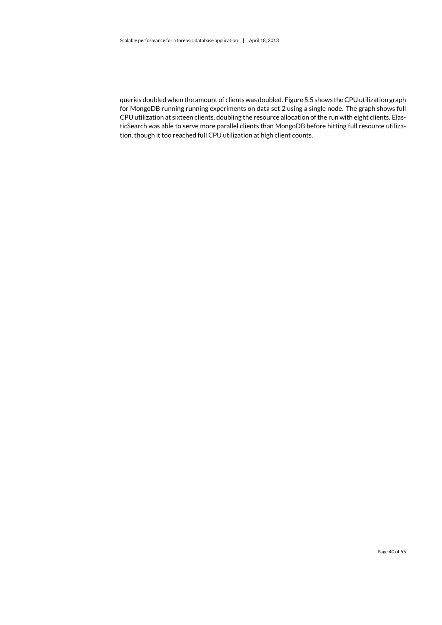queries doubled when the amount of clients was doubled. Figure [5.5](#page-40-2) shows the CPU utilization graph for MongoDB running running experiments on data set 2 using a single node. The graph shows full CPU utilization at sixteen clients, doubling the resource allocation of the run with eight clients. ElasticSearch was able to serve more parallel clients than MongoDB before hitting full resource utilization, though it too reached full CPU utilization at high client counts.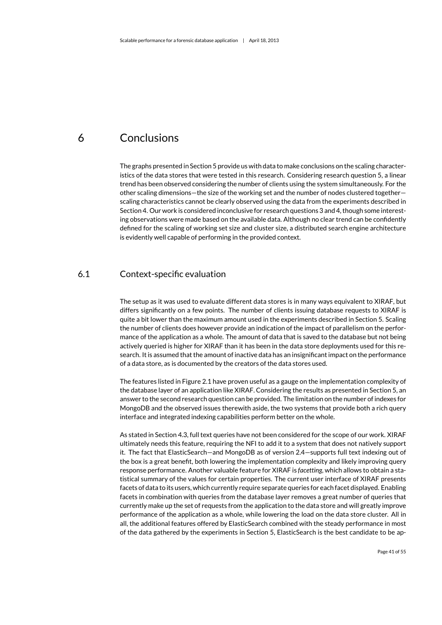## <span id="page-42-0"></span>6 Conclusions

The graphs presented in Section [5](#page-37-0) provide us with data to make conclusions on the scaling characteristics of the data stores that were tested in this research. Considering research question 5, a linear trend has been observed considering the number of clients using the system simultaneously. For the other scaling dimensions—the size of the [working set](#page-7-2) and the number of nodes clustered together scaling characteristics cannot be clearly observed using the data from the experiments described in Section [4.](#page-33-0) Our work is considered inconclusive for research questions 3 and 4, though some interesting observations were made based on the available data. Although no clear trend can be confidently defined for the scaling of [working set](#page-7-2) size and cluster size, a distributed search engine architecture is evidently well capable of performing in the provided context.

## 6.1 Context-specific evaluation

<span id="page-42-1"></span>The setup as it was used to evaluate different data stores is in many ways equivalent to [XIRAF,](#page-7-1) but differs significantly on a few points. The number of clients issuing database requests to [XIRAF](#page-7-1) is quite a bit lower than the maximum amount used in the experiments described in Section [5.](#page-37-0) Scaling the number of clients does however provide an indication of the impact of parallelism on the performance of the application as a whole. The amount of data that is saved to the database but not being actively queried is higher for [XIRAF](#page-7-1) than it has been in the data store deployments used for this research. It is assumed that the amount of inactive data has an insignificant impact on the performance of a data store, as is documented by the creators of the data stores used.

The features listed in Figure [2.1](#page-18-2) have proven useful as a gauge on the implementation complexity of the database layer of an application like [XIRAF.](#page-7-1) Considering the results as presented in Section [5,](#page-37-0) an answer to the second research question can be provided. The limitation on the number of indexes for MongoDB and the observed issues therewith aside, the two systems that provide both a rich query interface and integrated indexing capabilities perform better on the whole.

As stated in Section [4.3,](#page-34-0) full text queries have not been considered for the scope of our work. [XIRAF](#page-7-1) ultimately needs this feature, requiring the [NFI](#page-7-0) to add it to a system that does not natively support it. The fact that ElasticSearch—and MongoDB as of version 2.4—supports full text indexing out of the box is a great benefit, both lowering the implementation complexity and likely improving query response performance. Another valuable feature for [XIRAF](#page-7-1) is *facetting*, which allows to obtain a statistical summary of the values for certain properties. The current user interface of [XIRAF](#page-7-1) presents facets of data to its users, which currently require separate queries for each facet displayed. Enabling facets in combination with queries from the database layer removes a great number of queries that currently make up the set of requests from the application to the data store and will greatly improve performance of the application as a whole, while lowering the load on the data store cluster. All in all, the additional features offered by ElasticSearch combined with the steady performance in most of the data gathered by the experiments in Section [5,](#page-37-0) ElasticSearch is the best candidate to be ap-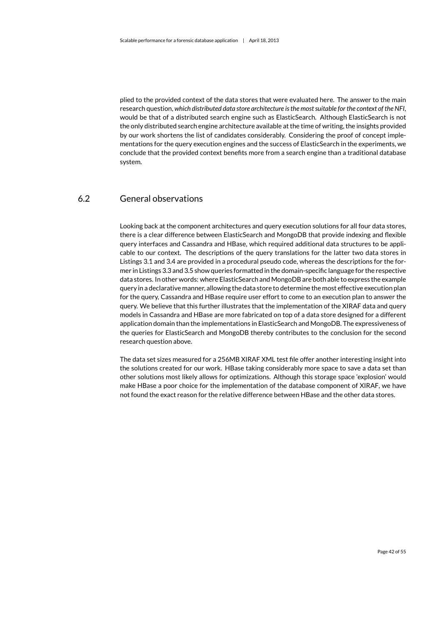plied to the provided context of the data stores that were evaluated here. The answer to the main research question, *which distributed data store architecture is the most suitable for the context of the [NFI](#page-7-0)*, would be that of a distributed search engine such as ElasticSearch. Although ElasticSearch is not the only distributed search engine architecture available at the time of writing, the insights provided by our work shortens the list of candidates considerably. Considering the proof of concept implementations for the query execution engines and the success of ElasticSearch in the experiments, we conclude that the provided context benefits more from a search engine than a traditional database system.

### 6.2 General observations

<span id="page-43-0"></span>Looking back at the component architectures and query execution solutions for all four data stores, there is a clear difference between ElasticSearch and MongoDB that provide indexing and flexible query interfaces and Cassandra and HBase, which required additional data structures to be applicable to our context. The descriptions of the query translations for the latter two data stores in Listings [3.1](#page-26-2) and [3.4](#page-29-1) are provided in a procedural pseudo code, whereas the descriptions for the former in Listings [3.3](#page-28-3) and [3.5 s](#page-31-1)how queries formatted in the domain-specific language for the respective data stores. In other words: where ElasticSearch and MongoDB are both able to express the example query in a declarative manner, allowing the data store to determine the most effective execution plan for the query, Cassandra and HBase require user effort to come to an execution plan to answer the query. We believe that this further illustrates that the implementation of the [XIRAF](#page-7-1) data and query models in Cassandra and HBase are more fabricated on top of a data store designed for a different application domain than the implementations in ElasticSearch and MongoDB. The expressiveness of the queries for ElasticSearch and MongoDB thereby contributes to the conclusion for the second research question above.

The data set sizes measured for a 256MB [XIRAF](#page-7-1) XML test file offer another interesting insight into the solutions created for our work. HBase taking considerably more space to save a data set than other solutions most likely allows for optimizations. Although this storage space 'explosion' would make HBase a poor choice for the implementation of the database component of [XIRAF,](#page-7-1) we have not found the exact reason for the relative difference between HBase and the other data stores.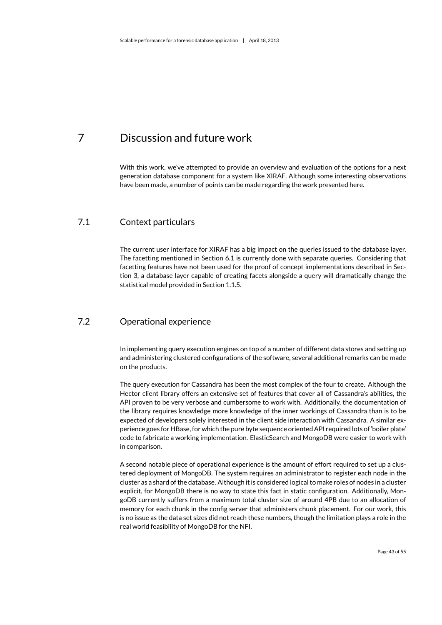## <span id="page-44-0"></span>7 Discussion and future work

With this work, we've attempted to provide an overview and evaluation of the options for a next generation database component for a system like [XIRAF.](#page-7-1) Although some interesting observations have been made, a number of points can be made regarding the work presented here.

## 7.1 Context particulars

<span id="page-44-1"></span>The current user interface for [XIRAF](#page-7-1) has a big impact on the queries issued to the database layer. The facetting mentioned in Section [6.1](#page-42-1) is currently done with separate queries. Considering that facetting features have not been used for the proof of concept implementations described in Section [3,](#page-22-0) a database layer capable of creating facets alongside a query will dramatically change the statistical model provided in Section [1.1.5.](#page-12-0)

### 7.2 Operational experience

<span id="page-44-2"></span>In implementing query execution engines on top of a number of different data stores and setting up and administering clustered configurations of the software, several additional remarks can be made on the products.

The query execution for Cassandra has been the most complex of the four to create. Although the Hector client library offers an extensive set of features that cover all of Cassandra's abilities, the API proven to be very verbose and cumbersome to work with. Additionally, the documentation of the library requires knowledge more knowledge of the inner workings of Cassandra than is to be expected of developers solely interested in the client side interaction with Cassandra. A similar experience goes for HBase, for which the pure byte sequence oriented API required lots of 'boiler plate' code to fabricate a working implementation. ElasticSearch and MongoDB were easier to work with in comparison.

A second notable piece of operational experience is the amount of effort required to set up a clustered deployment of MongoDB. The system requires an administrator to register each node in the cluster as a shard of the database. Although it is considered logical to make roles of nodes in a cluster explicit, for MongoDB there is no way to state this fact in static configuration. Additionally, MongoDB currently suffers from a maximum total cluster size of around 4PB due to an allocation of memory for each chunk in the config server that administers chunk placement. For our work, this is no issue as the data set sizes did not reach these numbers, though the limitation plays a role in the real world feasibility of MongoDB for the [NFI.](#page-7-0)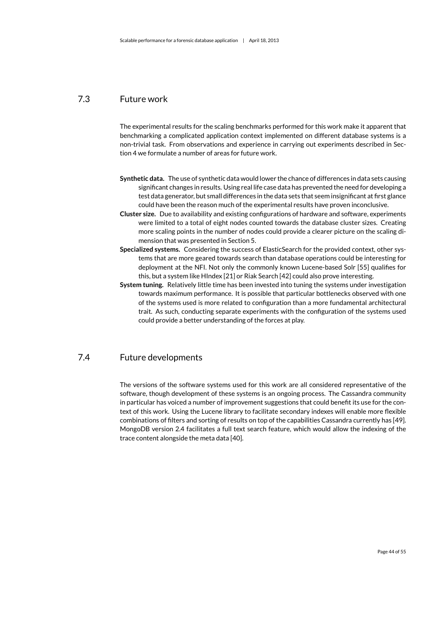## 7.3 Future work

<span id="page-45-0"></span>The experimental results for the scaling benchmarks performed for this work make it apparent that benchmarking a complicated application context implemented on different database systems is a non-trivial task. From observations and experience in carrying out experiments described in Section [4](#page-33-0) we formulate a number of areas for future work.

- **Synthetic data.** The use of synthetic data would lower the chance of differences in data sets causing significant changes in results. Using real life case data has prevented the need for developing a test data generator, but small differences in the data sets that seem insignificant at first glance could have been the reason much of the experimental results have proven inconclusive.
- **Cluster size.** Due to availability and existing configurations of hardware and software, experiments were limited to a total of eight nodes counted towards the database cluster sizes. Creating more scaling points in the number of nodes could provide a clearer picture on the scaling dimension that was presented in Section [5.](#page-37-0)
- **Specialized systems.** Considering the success of ElasticSearch for the provided context, other systems that are more geared towards search than database operations could be interesting for deployment at the [NFI.](#page-7-0) Not only the commonly known Lucene-based Solr [\[55\]](#page-50-3) qualifies for this, but a system like HIndex [\[21\]](#page-47-15) or Riak Search [\[42\]](#page-49-9) could also prove interesting.
- **System tuning.** Relatively little time has been invested into tuning the systems under investigation towards maximum performance. It is possible that particular bottlenecks observed with one of the systems used is more related to configuration than a more fundamental architectural trait. As such, conducting separate experiments with the configuration of the systems used could provide a better understanding of the forces at play.

## 7.4 Future developments

<span id="page-45-1"></span>The versions of the software systems used for this work are all considered representative of the software, though development of these systems is an ongoing process. The Cassandra community in particular has voiced a number of improvement suggestions that could benefit its use for the context of this work. Using the Lucene library to facilitate secondary indexes will enable more flexible combinations of filters and sorting of results on top of the capabilities Cassandra currently has [\[49\]](#page-49-14). MongoDB version 2.4 facilitates a full text search feature, which would allow the indexing of the [trace](#page-7-3) content alongside the meta data [\[40\]](#page-49-15).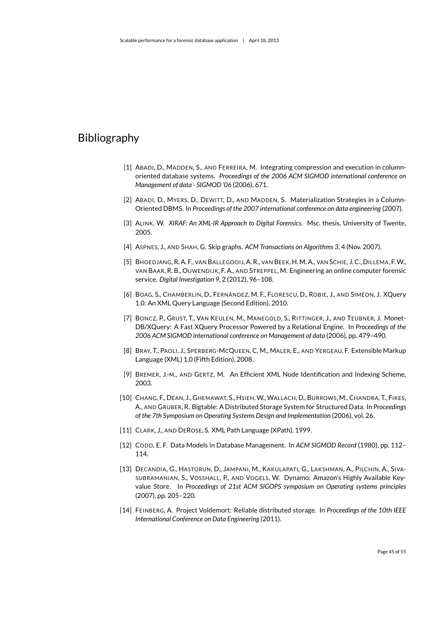## <span id="page-46-0"></span>Bibliography

- <span id="page-46-9"></span>[1] ABADI, D., MADDEN, S., AND FERREIRA, M. Integrating compression and execution in columnoriented database systems. *Proceedings of the 2006 ACM SIGMOD international conference on Management of data - SIGMOD '06* (2006), 671.
- <span id="page-46-10"></span>[2] ABADI, D., MYERS, D., DEWITT, D., AND MADDEN, S. Materialization Strategies in a Column-Oriented DBMS. In *Proceedings of the 2007 international conference on data engineering* (2007).
- <span id="page-46-14"></span>[3] ALINK, W. *XIRAF: An XML-IR Approach to Digital Forensics*. Msc. thesis, University of Twente, 2005.
- <span id="page-46-13"></span>[4] ASPNES, J., AND SHAH, G. Skip graphs. *ACM Transactions on Algorithms 3*, 4 (Nov. 2007).
- <span id="page-46-1"></span>[5] BHOEDJANG, R. A. F., VAN BALLEGOOIJ, A. R., VAN BEEK, H. M. A., VAN SCHIE, J. C., DILLEMA, F.W., VAN BAAR, R. B., OUWENDIJK, F. A., AND STREPPEL, M. Engineering an online computer forensic service. *Digital Investigation 9*, 2 (2012), 96–108.
- <span id="page-46-7"></span>[6] BOAG, S., CHAMBERLIN, D., FERNÁNDEZ, M. F., FLORESCU, D., ROBIE, J., AND SIMÉON, J. XQuery 1.0: An XML Query Language (Second Edition), 2010.
- <span id="page-46-4"></span>[7] BONCZ, P., GRUST, T., VAN KEULEN, M., MANEGOLD, S., RITTINGER, J., AND TEUBNER, J. Monet-DB/XQuery: A Fast XQuery Processor Powered by a Relational Engine. In *Proceedings of the 2006 ACM SIGMOD international conference on Management of data* (2006), pp. 479–490.
- <span id="page-46-2"></span>[8] BRAY, T., PAOLI, J., SPERBERG-MCQUEEN, C. M., MALER, E., AND YERGEAU, F. Extensible Markup Language (XML) 1.0 (Fifth Edition), 2008.
- <span id="page-46-6"></span>[9] BREMER, J.-M., AND GERTZ, M. An Efficient XML Node Identification and Indexing Scheme, 2003.
- <span id="page-46-8"></span>[10] CHANG, F., DEAN, J., GHEMAWAT, S., HSIEH, W., WALLACH, D., BURROWS, M., CHANDRA, T., FIKES, A., AND GRUBER, R. Bigtable: A Distributed Storage System for Structured Data. In *Proceedings of the 7th Symposium on Operating Systems Design and Implementation* (2006), vol. 26.
- <span id="page-46-3"></span>[11] CLARK, J., AND DEROSE, S. XML Path Language (XPath), 1999.
- <span id="page-46-5"></span>[12] CODD, E. F. Data Models in Database Management. In *ACM SIGMOD Record* (1980), pp. 112– 114.
- <span id="page-46-11"></span>[13] DECANDIA, G., HASTORUN, D., JAMPANI, M., KAKULAPATI, G., LAKSHMAN, A., PILCHIN, A., SIVA-SUBRAMANIAN, S., VOSSHALL, P., AND VOGELS, W. Dynamo: Amazon's Highly Available Keyvalue Store. In *Proceedings of 21st ACM SIGOPS symposium on Operating systems principles* (2007), pp. 205–220.
- <span id="page-46-12"></span>[14] FEINBERG, A. Project Voldemort: Reliable distributed storage. In *Proceedings of the 10th IEEE International Conference on Data Engineering* (2011).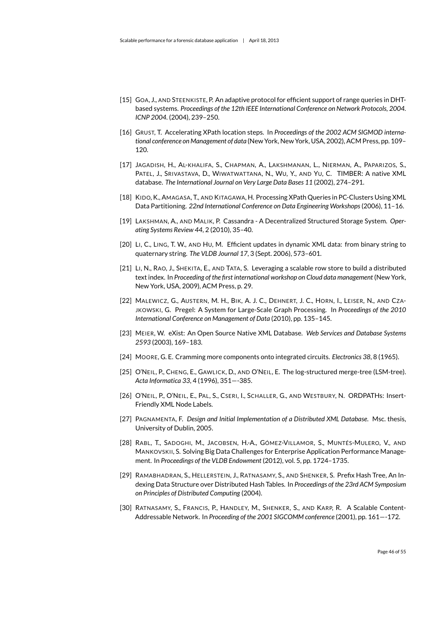- <span id="page-47-13"></span>[15] GOA, J., AND STEENKISTE, P. An adaptive protocol for efficient support of range queries in DHTbased systems. *Proceedings of the 12th IEEE International Conference on Network Protocols, 2004. ICNP 2004.* (2004), 239–250.
- <span id="page-47-2"></span>[16] GRUST, T. Accelerating XPath location steps. In *Proceedings of the 2002 ACM SIGMOD international conference on Management of data* (New York, New York, USA, 2002), ACM Press, pp. 109– 120.
- <span id="page-47-5"></span>[17] JAGADISH, H., AL-KHALIFA, S., CHAPMAN, A., LAKSHMANAN, L., NIERMAN, A., PAPARIZOS, S., PATEL, J., SRIVASTAVA, D., WIWATWATTANA, N., WU, Y., AND YU, C. TIMBER: A native XML database. *The International Journal on Very Large Data Bases 11* (2002), 274–291.
- <span id="page-47-8"></span>[18] KIDO, K., AMAGASA, T., AND KITAGAWA, H. Processing XPath Queries in PC-Clusters Using XML Data Partitioning. *22nd International Conference on Data Engineering Workshops*(2006), 11–16.
- <span id="page-47-11"></span>[19] LAKSHMAN, A., AND MALIK, P. Cassandra - A Decentralized Structured Storage System. *Operating Systems Review 44*, 2 (2010), 35–40.
- <span id="page-47-4"></span>[20] LI, C., LING, T. W., AND HU, M. Efficient updates in dynamic XML data: from binary string to quaternary string. *The VLDB Journal 17*, 3 (Sept. 2006), 573–601.
- <span id="page-47-15"></span>[21] LI, N., RAO, J., SHEKITA, E., AND TATA, S. Leveraging a scalable row store to build a distributed text index. In *Proceeding of the first international workshop on Cloud data management* (New York, New York, USA, 2009), ACM Press, p. 29.
- <span id="page-47-1"></span>[22] MALEWICZ, G., AUSTERN, M. H., BIK, A. J. C., DEHNERT, J. C., HORN, I., LEISER, N., AND CZA-JKOWSKI, G. Pregel: A System for Large-Scale Graph Processing. In *Proceedings of the 2010 International Conference on Management of Data* (2010), pp. 135–145.
- <span id="page-47-6"></span>[23] MEIER, W. eXist: An Open Source Native XML Database. *Web Services and Database Systems 2593* (2003), 169–183.
- <span id="page-47-0"></span>[24] MOORE, G. E. Cramming more components onto integrated circuits. *Electronics 38*, 8 (1965).
- <span id="page-47-9"></span>[25] O'NEIL, P., CHENG, E., GAWLICK, D., AND O'NEIL, E. The log-structured merge-tree (LSM-tree). *Acta Informatica 33*, 4 (1996), 351—-385.
- <span id="page-47-3"></span>[26] O'NEIL, P., O'NEIL, E., PAL, S., CSERI, I., SCHALLER, G., AND WESTBURY, N. ORDPATHs: Insert-Friendly XML Node Labels.
- <span id="page-47-7"></span>[27] PAGNAMENTA, F. *Design and Initial Implementation of a Distributed XML Database*. Msc. thesis, University of Dublin, 2005.
- <span id="page-47-14"></span>[28] RABL, T., SADOGHI, M., JACOBSEN, H.-A., GÓMEZ-VILLAMOR, S., MUNTÉS-MULERO, V., AND MANKOVSKII, S. Solving Big Data Challenges for Enterprise Application Performance Management. In *Proceedings of the VLDB Endowment* (2012), vol. 5, pp. 1724–1735.
- <span id="page-47-12"></span>[29] RAMABHADRAN, S., HELLERSTEIN, J., RATNASAMY, S., AND SHENKER, S. Prefix Hash Tree, An Indexing Data Structure over Distributed Hash Tables. In *Proceedings of the 23rd ACM Symposium on Principles of Distributed Computing* (2004).
- <span id="page-47-10"></span>[30] RATNASAMY, S., FRANCIS, P., HANDLEY, M., SHENKER, S., AND KARP, R. A Scalable Content-Addressable Network. In *Proceeding of the 2001 SIGCOMM conference* (2001), pp. 161—-172.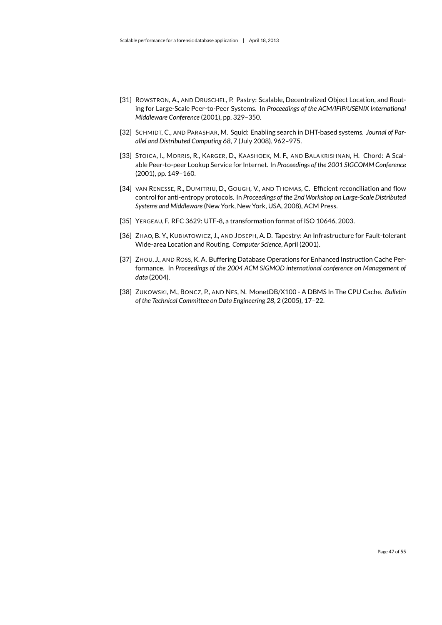- <span id="page-48-3"></span>[31] ROWSTRON, A., AND DRUSCHEL, P. Pastry: Scalable, Decentralized Object Location, and Routing for Large-Scale Peer-to-Peer Systems. In *Proceedings of the ACM/IFIP/USENIX International Middleware Conference* (2001), pp. 329–350.
- <span id="page-48-6"></span>[32] SCHMIDT, C., AND PARASHAR, M. Squid: Enabling search in DHT-based systems. *Journal of Parallel and Distributed Computing 68*, 7 (July 2008), 962–975.
- <span id="page-48-2"></span>[33] STOICA, I., MORRIS, R., KARGER, D., KAASHOEK, M. F., AND BALAKRISHNAN, H. Chord: A Scalable Peer-to-peer Lookup Service for Internet. In *Proceedings of the 2001 SIGCOMM Conference* (2001), pp. 149–160.
- <span id="page-48-5"></span>[34] VAN RENESSE, R., DUMITRIU, D., GOUGH, V., AND THOMAS, C. Efficient reconciliation and flow control for anti-entropy protocols. In *Proceedings of the 2nd Workshop on Large-Scale Distributed Systems and Middleware* (New York, New York, USA, 2008), ACM Press.
- <span id="page-48-7"></span>[35] YERGEAU, F. RFC 3629: UTF-8, a transformation format of ISO 10646, 2003.
- <span id="page-48-4"></span>[36] ZHAO, B. Y., KUBIATOWICZ, J., AND JOSEPH, A. D. Tapestry: An Infrastructure for Fault-tolerant Wide-area Location and Routing. *Computer Science*, April (2001).
- <span id="page-48-0"></span>[37] ZHOU, J., AND ROSS, K. A. Buffering Database Operations for Enhanced Instruction Cache Performance. In *Proceedings of the 2004 ACM SIGMOD international conference on Management of data* (2004).
- <span id="page-48-1"></span>[38] ZUKOWSKI, M., BONCZ, P., AND NES, N. MonetDB/X100 - A DBMS In The CPU Cache. *Bulletin of the Technical Committee on Data Engineering 28*, 2 (2005), 17–22.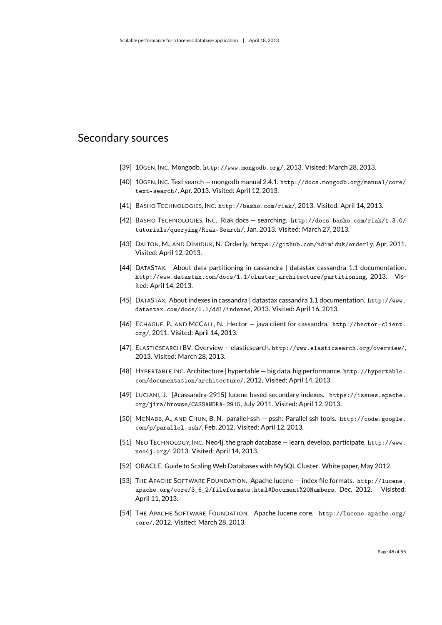## <span id="page-49-0"></span>Secondary sources

- <span id="page-49-6"></span>[39] 10GEN, INC. Mongodb. <http://www.mongodb.org/>, 2013. Visited: March 28, 2013.
- <span id="page-49-15"></span>[40] 10GEN, INC. Text search — mongodb manual 2.4.1. [http://docs.mongodb.org/manual/core/](http://docs.mongodb.org/manual/core/text-search/) [text-search/](http://docs.mongodb.org/manual/core/text-search/), Apr. 2013. Visited: April 12, 2013.
- <span id="page-49-8"></span>[41] BASHO TECHNOLOGIES, INC. <http://basho.com/riak/>, 2013. Visited: April 14, 2013.
- <span id="page-49-9"></span>[42] BASHO TECHNOLOGIES, INC. Riak docs — searching. [http://docs.basho.com/riak/1.3.0/](http://docs.basho.com/riak/1.3.0/tutorials/querying/Riak-Search/) [tutorials/querying/Riak-Search/](http://docs.basho.com/riak/1.3.0/tutorials/querying/Riak-Search/), Jan. 2013. Visited: March 27, 2013.
- <span id="page-49-16"></span>[43] DALTON, M., AND DIMIDUK, N. Orderly. <https://github.com/ndimiduk/orderly>, Apr. 2011. Visited: April 12, 2013.
- <span id="page-49-3"></span>[44] DATASTAX. About data partitioning in cassandra | datastax cassandra 1.1 documentation. [http://www.datastax.com/docs/1.1/cluster\\_architecture/partitioning](http://www.datastax.com/docs/1.1/cluster_architecture/partitioning), 2013. Visited: April 14, 2013.
- <span id="page-49-10"></span>[45] DATASTAX. About indexes in cassandra | datastax cassandra 1.1 documentation. [http://www.](http://www.datastax.com/docs/1.1/ddl/indexes) [datastax.com/docs/1.1/ddl/indexes](http://www.datastax.com/docs/1.1/ddl/indexes), 2013. Visited: April 16, 2013.
- <span id="page-49-12"></span>[46] ECHAGUE, P., AND MCCALL, N. Hector — java client for cassandra. [http://hector-client.](http://hector-client.org/) [org/](http://hector-client.org/), 2011. Visited: April 14, 2013.
- <span id="page-49-5"></span>[47] ELASTICSEARCH BV. Overview - elasticsearch. <http://www.elasticsearch.org/overview/>, 2013. Visited: March 28, 2013.
- <span id="page-49-2"></span>[48] HYPERTABLE INC. Architecture | hypertable — big data. big performance. [http://hypertable.](http://hypertable.com/documentation/architecture/) [com/documentation/architecture/](http://hypertable.com/documentation/architecture/), 2012. Visited: April 14, 2013.
- <span id="page-49-14"></span>[49] LUCIANI, J. [#cassandra-2915] lucene based secondary indexes. [https://issues.apache.](https://issues.apache.org/jira/browse/CASSANDRA-2915) [org/jira/browse/CASSANDRA-2915](https://issues.apache.org/jira/browse/CASSANDRA-2915), July 2011. Visited: April 12, 2013.
- <span id="page-49-13"></span>[50] MCNABB, A., AND CHUN, B. N. parallel-ssh — pssh: Parallel ssh tools. [http://code.google.](http://code.google.com/p/parallel-ssh/) [com/p/parallel-ssh/](http://code.google.com/p/parallel-ssh/), Feb. 2012. Visited: April 12, 2013.
- <span id="page-49-7"></span>[51] NEO TECHNOLOGY, INC. Neo4j, the graph database — learn, develop, participate. [http://www.](http://www.neo4j.org/) [neo4j.org/](http://www.neo4j.org/), 2013. Visited: April 14, 2013.
- <span id="page-49-1"></span>[52] ORACLE. Guide to Scaling Web Databases with MySQL Cluster. White paper, May 2012.
- <span id="page-49-11"></span>[53] THE APACHE SOFTWARE FOUNDATION. Apache lucene — index file formats. [http://lucene.](http://lucene.apache.org/core/3_6_2/fileformats.html#Document%20Numbers) [apache.org/core/3\\_6\\_2/fileformats.html#Document%20Numbers](http://lucene.apache.org/core/3_6_2/fileformats.html#Document%20Numbers), Dec. 2012. Visisted: April 11, 2013.
- <span id="page-49-4"></span>[54] THE APACHE SOFTWARE FOUNDATION. Apache lucene core. [http://lucene.apache.org/](http://lucene.apache.org/core/) [core/](http://lucene.apache.org/core/), 2012. Visited: March 28, 2013.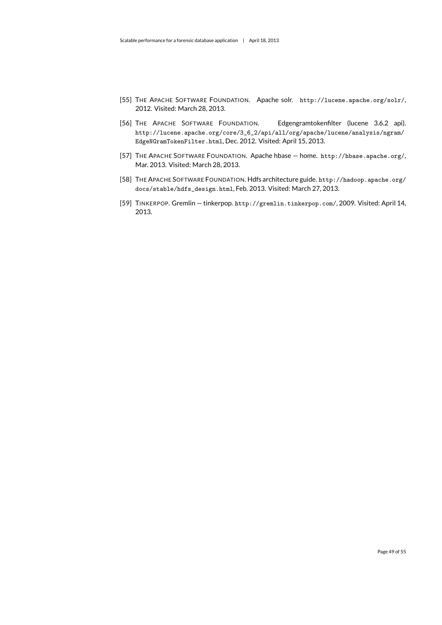- <span id="page-50-3"></span>[55] THE APACHE SOFTWARE FOUNDATION. Apache solr. <http://lucene.apache.org/solr/>, 2012. Visited: March 28, 2013.
- <span id="page-50-4"></span>[56] THE APACHE SOFTWARE FOUNDATION. Edgengramtokenfilter (lucene 3.6.2 api). [http://lucene.apache.org/core/3\\_6\\_2/api/all/org/apache/lucene/analysis/ngram/](http://lucene.apache.org/core/3_6_2/api/all/org/apache/lucene/analysis/ngram/EdgeNGramTokenFilter.html) [EdgeNGramTokenFilter.html](http://lucene.apache.org/core/3_6_2/api/all/org/apache/lucene/analysis/ngram/EdgeNGramTokenFilter.html), Dec. 2012. Visited: April 15, 2013.
- <span id="page-50-1"></span>[57] THE APACHE SOFTWARE FOUNDATION. Apache hbase — home. <http://hbase.apache.org/>, Mar. 2013. Visited: March 28, 2013.
- <span id="page-50-2"></span>[58] THE APACHE SOFTWARE FOUNDATION. Hdfs architecture guide. [http://hadoop.apache.org/](http://hadoop.apache.org/docs/stable/hdfs_design.html) [docs/stable/hdfs\\_design.html](http://hadoop.apache.org/docs/stable/hdfs_design.html), Feb. 2013. Visited: March 27, 2013.
- <span id="page-50-0"></span>[59] TINKERPOP. Gremlin — tinkerpop. <http://gremlin.tinkerpop.com/>, 2009. Visited: April 14, 2013.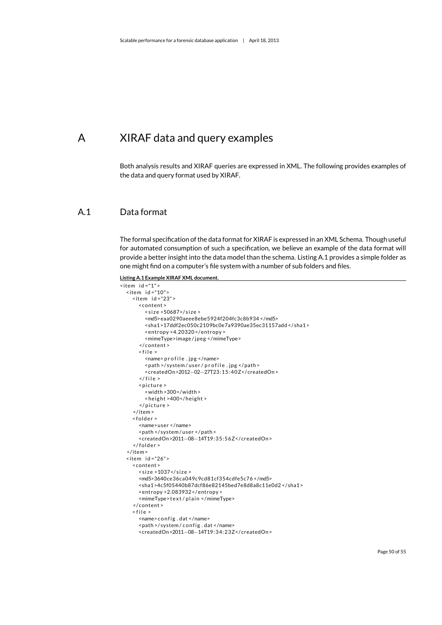# <span id="page-51-0"></span>A XIRAF data and query examples

<span id="page-51-1"></span>Both analysis results and [XIRAF](#page-7-1) queries are expressed in XML. The following provides examples of the data and query format used by [XIRAF.](#page-7-1)

## A.1 Data format

The formal specification of the data format for [XIRAF](#page-7-1) is expressed in an XML Schema. Though useful for automated consumption of such a specification, we believe an example of the data format will provide a better insight into the data model than the schema. Listing [A.1](#page-51-2) provides a simple folder as one might find on a computer's file system with a number of sub folders and files.

<span id="page-51-2"></span>**Listing A.1 Example [XIRAF](#page-7-1) XML document.**

```
\text{time} id ="1" >
  \text{time} id ="10" >
    \langleitem id="23">
       <content >
         < si z e >50687</ si z e >
         <md5>eaa0290aeee8ebe5924f204fc3c8b934 </md5>
         <sha1 >17ddf2ec050c2109bc0e7a9390ae35ec31157add </ sha1 >
         <entropy >4.20320 </ entropy >
         <mimeType>image / jpeg </mimeType>
       </ content >
       \le f i l e \ge<name> p r o f i l e . jpg </name>
         <path >/system/user/profile.jpg </path>
         <createdOn>2012−02−27T23:15:40Z</ createdOn >
       \langle file >
       < picture >
         <width >300</width >
         < height > 400 </ height >
       </picture>
    </ item >
    <folder>
       <name>user </name>
       <path >/ system / user </ path >
       <createdOn>2011−08−14T19:35:56Z</ createdOn >
     </folder>
  </ item >
  \text{time} id ="26" >
    <content >
       \langle size >1037\langle/size >
       <md5>3640ce36ca049c9cd81cf354cdfe5c76 </md5>
       <sha1 >4c5f05440b87dcf86e82145bed7e8d8a8c11e0d2 </ sha1 >
       <entropy >2.083932 </ entropy >
       <mimeType>text/plain </mimeType>
    </ content >
    < file ><name> config.dat </name>
       <path >/system/config.dat </name>
       <createdOn>2011−08−14T19:34:23Z</ createdOn >
```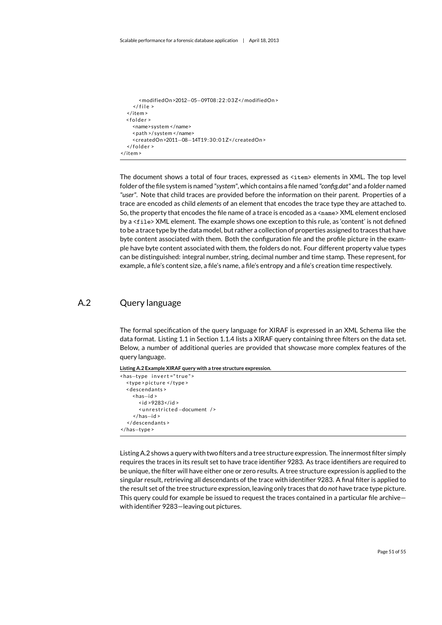```
<modifiedOn>2012−05−09T08:22:03Z</ modifiedOn >
     \langle file >
  \epsilon/item >
  <sub>f</sub>dder ></sub>
     <name>system </name>
     <path >/ system </name>
     <createdOn>2011−08−14T19:30:01Z</ createdOn >
  \langle folder \rangle</ item >
```
The document shows a total of four [traces,](#page-7-3) expressed as <item> elements in XML. The top level folder of the file system is named *"system"*, which contains a file named *"config.dat"* and a folder named *"user"*. Note that child [traces](#page-7-3) are provided before the information on their parent. Properties of a [trace](#page-7-3) are encoded as child *elements* of an element that encodes the [trace](#page-7-3) type they are attached to. So, the property that encodes the file name of a [trace](#page-7-3) is encoded as a  $\epsilon$ name> XML element enclosed by a <file> XML element. The example shows one exception to this rule, as 'content' is not defined to be a [trace](#page-7-3) type by the data model, but rather a collection of properties assigned to [traces](#page-7-3) that have byte content associated with them. Both the configuration file and the profile picture in the example have byte content associated with them, the folders do not. Four different property value types can be distinguished: integral number, string, decimal number and time stamp. These represent, for example, a file's content size, a file's name, a file's entropy and a file's creation time respectively.

### A.2 Query language

<span id="page-52-0"></span>The formal specification of the query language for [XIRAF](#page-7-1) is expressed in an XML Schema like the data format. Listing [1.1](#page-11-1) in Section [1.1.4](#page-11-0) lists a [XIRAF](#page-7-1) query containing three filters on the data set. Below, a number of additional queries are provided that showcase more complex features of the query language.

<span id="page-52-1"></span>**Listing A.2 Example [XIRAF](#page-7-1) query with a tree structure expression.**

```
<has-type invert="true">
  <type > picture </type>
  <descendants >
    <has−id >
       \langleid >9283</id >
       <unrestricted-document />
     </ has−id >
  </ descendants >
</ has−type >
```
Listing [A.2](#page-52-1) shows a query with two filters and a tree structure expression. The innermost filter simply requires the [traces](#page-7-3) in its result set to have [trace](#page-7-3) identifier 9283. As [trace](#page-7-3) identifiers are required to be unique, the filter will have either one or zero results. A tree structure expression is applied to the singular result, retrieving all descendants of the [trace](#page-7-3) with identifier 9283. A final filter is applied to the result set of the tree structure expression, leaving only [traces](#page-7-3) that do *not* have [trace](#page-7-3) type picture. This query could for example be issued to request the [traces](#page-7-3) contained in a particular file archive with identifier 9283—leaving out pictures.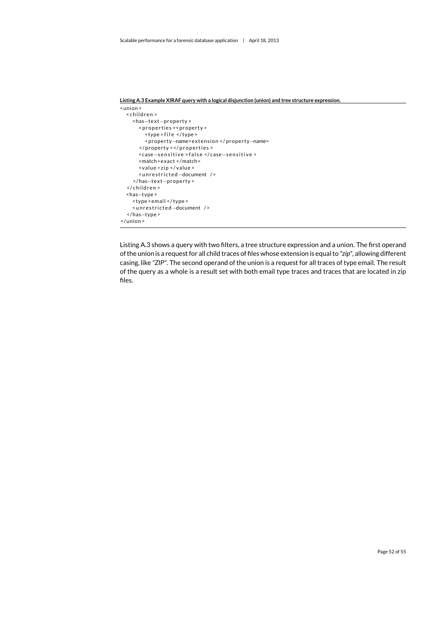```
Listing A.3 Example XIRAF query with a logical disjunction (union) and tree structure expression.
<union >
  <children>
    <has−te x t−property >
       <properties ><property >
          <type > f i l e </ type >
          <property−name> e x tension </ property−name>
       </property > </properties >
       <case−s e n s i t i v e > f a l s e </ case−s e n s i t i v e >
       <match>exact </match>
       <value > zip </ value >
       <unrestricted-document />
     </ has−te x t−property >
  </children>
  <has−type >
    <type >email </ type >
     <unrestricted-document />
  </ has−type >
</ union >
```
Listing [A.3](#page-53-0) shows a query with two filters, a tree structure expression and a union. The first operand of the union is a request for all child [traces o](#page-7-3)f files whose extension is equal to *"zip"*, allowing different casing, like *"ZIP"*. The second operand of the union is a request for all [traces](#page-7-3) of type email. The result of the query as a whole is a result set with both email type [traces](#page-7-3) and [traces](#page-7-3) that are located in zip files.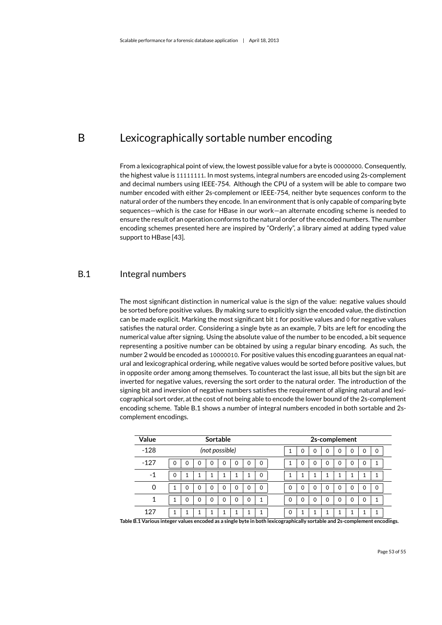## <span id="page-54-0"></span>B Lexicographically sortable number encoding

From a lexicographical point of view, the lowest possible value for a byte is 00000000. Consequently, the highest value is 11111111. In most systems, integral numbers are encoded using 2s-complement and decimal numbers using IEEE-754. Although the CPU of a system will be able to compare two number encoded with either 2s-complement or IEEE-754, neither byte sequences conform to the natural order of the numbers they encode. In an environment that is only capable of comparing byte sequences—which is the case for HBase in our work—an alternate encoding scheme is needed to ensure the result of an operation conforms to the natural order of the encoded numbers. The number encoding schemes presented here are inspired by "Orderly", a library aimed at adding typed value support to HBase [\[43\]](#page-49-16).

## B.1 Integral numbers

<span id="page-54-1"></span>The most significant distinction in numerical value is the sign of the value: negative values should be sorted before positive values. By making sure to explicitly sign the encoded value, the distinction can be made explicit. Marking the most significant bit 1 for positive values and 0 for negative values satisfies the natural order. Considering a single byte as an example, 7 bits are left for encoding the numerical value after signing. Using the absolute value of the number to be encoded, a bit sequence representing a positive number can be obtained by using a regular binary encoding. As such, the number 2 would be encoded as 10000010. For positive values this encoding guarantees an equal natural and lexicographical ordering, while negative values would be sorted before positive values, but in opposite order among among themselves. To counteract the last issue, all bits but the sign bit are inverted for negative values, reversing the sort order to the natural order. The introduction of the signing bit and inversion of negative numbers satisfies the requirement of aligning natural and lexicographical sort order, at the cost of not being able to encode the lower bound of the 2s-complement encoding scheme. Table [B.1](#page-54-2) shows a number of integral numbers encoded in both sortable and 2scomplement encodings.

| Value    | <b>Sortable</b> |   |   |                |   |   |   |   |  |   | 2s-complement |               |          |   |   |   |   |
|----------|-----------------|---|---|----------------|---|---|---|---|--|---|---------------|---------------|----------|---|---|---|---|
| $-128$   |                 |   |   | (not possible) |   |   |   |   |  |   |               | $\mathcal{L}$ | O        | O | 0 | 0 | 0 |
| $-127$   | ი               | Ω | O | 0              | 0 | 0 | ი | 0 |  |   |               | ∩             | 0        | Ω | 0 | 0 | 1 |
| -1       |                 |   |   |                |   |   |   | 0 |  |   |               |               |          |   |   |   |   |
| $\Omega$ |                 | 0 | Ω | 0              | 0 | 0 | 0 | 0 |  | O | $\Omega$      | 0             | $\Omega$ | Ω | 0 | 0 | 0 |
|          |                 |   | Ω | 0              | 0 | 0 | 0 | 1 |  |   |               |               | 0        | 0 | 0 | 0 | 1 |
| 127      |                 |   |   |                |   |   |   | 1 |  | 0 |               |               |          |   |   |   | 1 |

<span id="page-54-2"></span>**Table B.1 Various integer values encoded as a single byte in both lexicographically sortable and 2s-complement encodings.**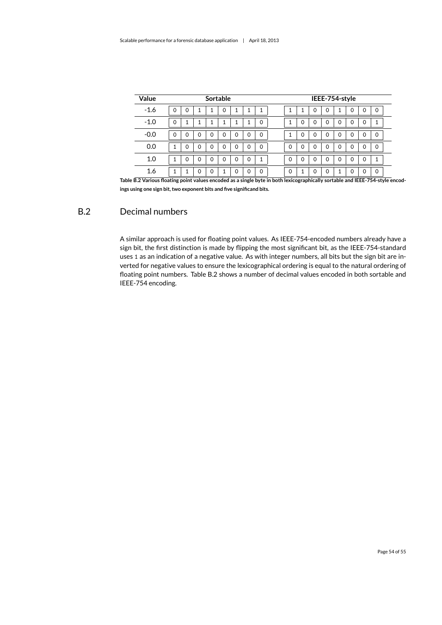| Value                                                                                                         |   |   |   | Sortable |   |   |   |             |             |   |          |   | IEEE-754-style |          |   |          |
|---------------------------------------------------------------------------------------------------------------|---|---|---|----------|---|---|---|-------------|-------------|---|----------|---|----------------|----------|---|----------|
| $-1.6$                                                                                                        | 0 | 0 |   | 1        | 0 |   |   | ◢           |             |   | $\Omega$ | 0 | 1              | $\Omega$ | 0 | $\Omega$ |
| $-1.0$                                                                                                        | 0 |   |   |          |   |   |   | $\mathbf 0$ |             | 0 | $\Omega$ |   | $\Omega$       | 0        | 0 |          |
| $-0.0$                                                                                                        | O | 0 | 0 | 0        | 0 | 0 | 0 | $\mathbf 0$ |             |   | $\Omega$ |   | $\Omega$       | 0        | 0 | 0        |
| 0.0                                                                                                           |   | ი | 0 | 0        | 0 | 0 | 0 | $\mathbf 0$ | $\Omega$    |   |          |   | $\Omega$       |          |   | $\Omega$ |
| 1.0                                                                                                           |   | 0 | 0 | 0        | 0 | 0 | 0 | 1           | $\mathbf 0$ |   |          |   | $\Omega$       | 0        | 0 |          |
| 1.6<br>$0.91$ $\pm$ $0.1$ $\pm$ $1.1$ $\pm$ $1.1$ $\pm$ $1.1$ $\pm$ $1.1$ $\pm$ $1.1$ $\pm$ $1.1$ $\pm$ $1.1$ |   |   | 0 | 0        |   | 0 | 0 | $\mathbf 0$ | $\mathbf 0$ |   |          |   |                | 0        | 0 | 0        |

<span id="page-55-1"></span>**Table B.2 Various floating point values encoded as a single byte in both lexicographically sortable and IEEE-754-style encodings using one sign bit, two exponent bits and five significand bits.**

## B.2 Decimal numbers

<span id="page-55-0"></span>A similar approach is used for floating point values. As IEEE-754-encoded numbers already have a sign bit, the first distinction is made by flipping the most significant bit, as the IEEE-754-standard uses 1 as an indication of a negative value. As with integer numbers, all bits but the sign bit are inverted for negative values to ensure the lexicographical ordering is equal to the natural ordering of floating point numbers. Table [B.2](#page-55-1) shows a number of decimal values encoded in both sortable and IEEE-754 encoding.